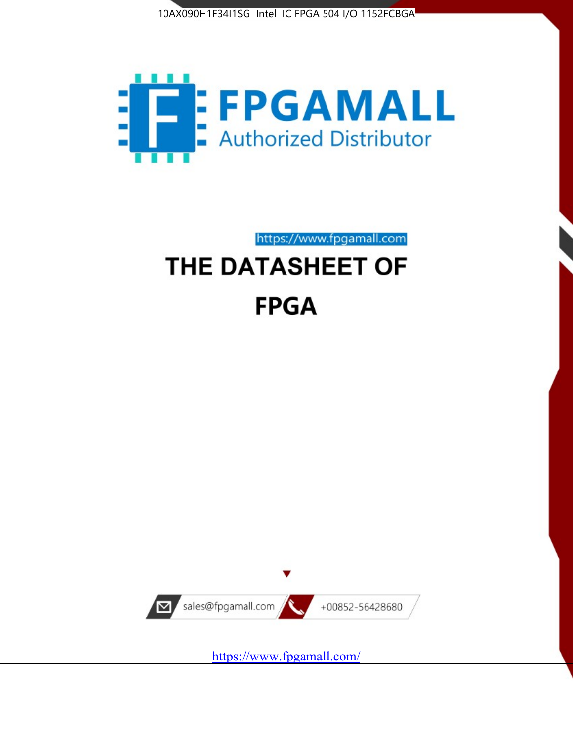



https://www.fpgamall.com

# THE DATASHEET OF **FPGA**



<https://www.fpgamall.com/>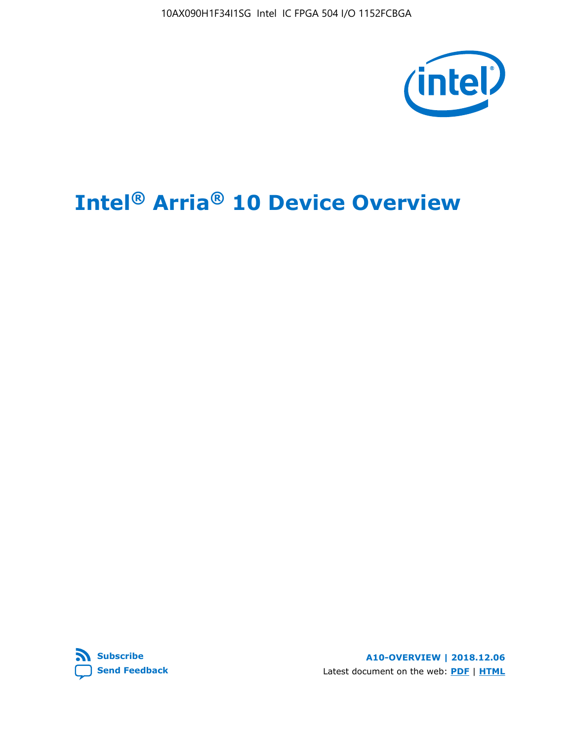10AX090H1F34I1SG Intel IC FPGA 504 I/O 1152FCBGA



# **Intel® Arria® 10 Device Overview**



**A10-OVERVIEW | 2018.12.06** Latest document on the web: **[PDF](https://www.intel.com/content/dam/www/programmable/us/en/pdfs/literature/hb/arria-10/a10_overview.pdf)** | **[HTML](https://www.intel.com/content/www/us/en/programmable/documentation/sam1403480274650.html)**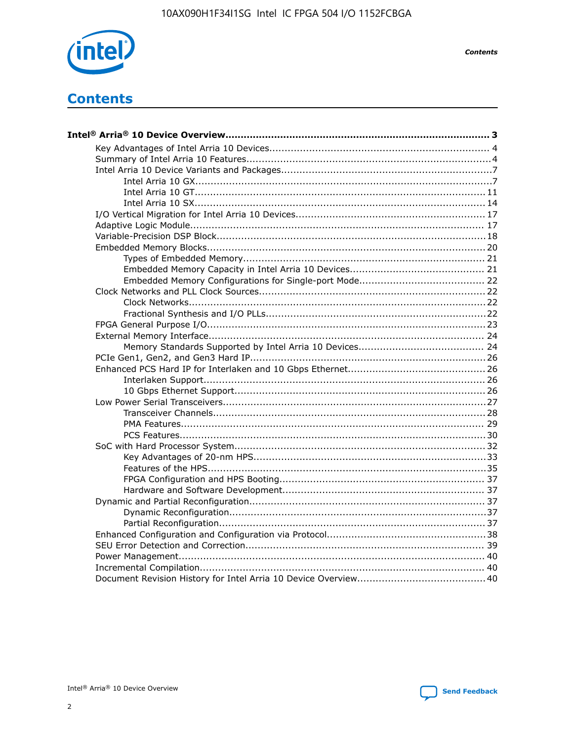

**Contents** 

# **Contents**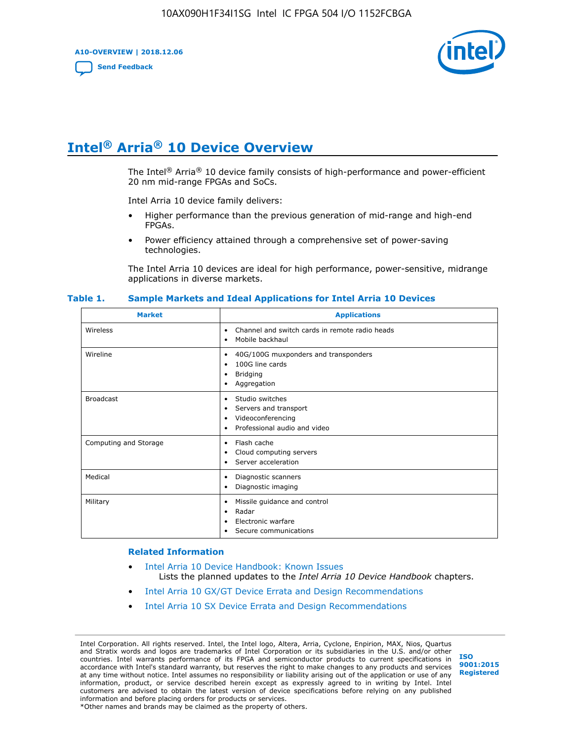**A10-OVERVIEW | 2018.12.06**

**[Send Feedback](mailto:FPGAtechdocfeedback@intel.com?subject=Feedback%20on%20Intel%20Arria%2010%20Device%20Overview%20(A10-OVERVIEW%202018.12.06)&body=We%20appreciate%20your%20feedback.%20In%20your%20comments,%20also%20specify%20the%20page%20number%20or%20paragraph.%20Thank%20you.)**



# **Intel® Arria® 10 Device Overview**

The Intel<sup>®</sup> Arria<sup>®</sup> 10 device family consists of high-performance and power-efficient 20 nm mid-range FPGAs and SoCs.

Intel Arria 10 device family delivers:

- Higher performance than the previous generation of mid-range and high-end FPGAs.
- Power efficiency attained through a comprehensive set of power-saving technologies.

The Intel Arria 10 devices are ideal for high performance, power-sensitive, midrange applications in diverse markets.

| <b>Market</b>         | <b>Applications</b>                                                                                               |
|-----------------------|-------------------------------------------------------------------------------------------------------------------|
| Wireless              | Channel and switch cards in remote radio heads<br>٠<br>Mobile backhaul<br>٠                                       |
| Wireline              | 40G/100G muxponders and transponders<br>٠<br>100G line cards<br>٠<br>Bridging<br>٠<br>Aggregation<br>٠            |
| <b>Broadcast</b>      | Studio switches<br>٠<br>Servers and transport<br>٠<br>Videoconferencing<br>٠<br>Professional audio and video<br>٠ |
| Computing and Storage | Flash cache<br>٠<br>Cloud computing servers<br>٠<br>Server acceleration<br>٠                                      |
| Medical               | Diagnostic scanners<br>٠<br>Diagnostic imaging<br>٠                                                               |
| Military              | Missile guidance and control<br>٠<br>Radar<br>٠<br>Electronic warfare<br>٠<br>Secure communications<br>٠          |

#### **Table 1. Sample Markets and Ideal Applications for Intel Arria 10 Devices**

#### **Related Information**

- [Intel Arria 10 Device Handbook: Known Issues](http://www.altera.com/support/kdb/solutions/rd07302013_646.html) Lists the planned updates to the *Intel Arria 10 Device Handbook* chapters.
- [Intel Arria 10 GX/GT Device Errata and Design Recommendations](https://www.intel.com/content/www/us/en/programmable/documentation/agz1493851706374.html#yqz1494433888646)
- [Intel Arria 10 SX Device Errata and Design Recommendations](https://www.intel.com/content/www/us/en/programmable/documentation/cru1462832385668.html#cru1462832558642)

Intel Corporation. All rights reserved. Intel, the Intel logo, Altera, Arria, Cyclone, Enpirion, MAX, Nios, Quartus and Stratix words and logos are trademarks of Intel Corporation or its subsidiaries in the U.S. and/or other countries. Intel warrants performance of its FPGA and semiconductor products to current specifications in accordance with Intel's standard warranty, but reserves the right to make changes to any products and services at any time without notice. Intel assumes no responsibility or liability arising out of the application or use of any information, product, or service described herein except as expressly agreed to in writing by Intel. Intel customers are advised to obtain the latest version of device specifications before relying on any published information and before placing orders for products or services. \*Other names and brands may be claimed as the property of others.

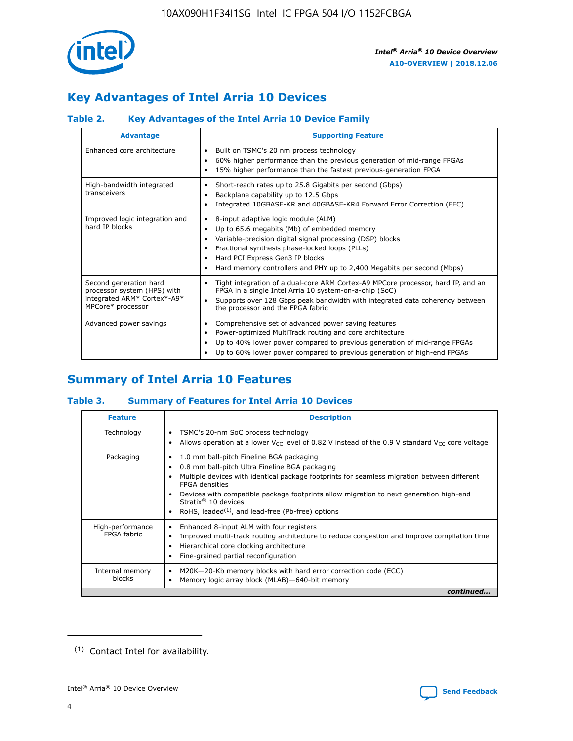

# **Key Advantages of Intel Arria 10 Devices**

# **Table 2. Key Advantages of the Intel Arria 10 Device Family**

| <b>Advantage</b>                                                                                          | <b>Supporting Feature</b>                                                                                                                                                                                                                                                                                                |
|-----------------------------------------------------------------------------------------------------------|--------------------------------------------------------------------------------------------------------------------------------------------------------------------------------------------------------------------------------------------------------------------------------------------------------------------------|
| Enhanced core architecture                                                                                | Built on TSMC's 20 nm process technology<br>٠<br>60% higher performance than the previous generation of mid-range FPGAs<br>٠<br>15% higher performance than the fastest previous-generation FPGA<br>٠                                                                                                                    |
| High-bandwidth integrated<br>transceivers                                                                 | Short-reach rates up to 25.8 Gigabits per second (Gbps)<br>٠<br>Backplane capability up to 12.5 Gbps<br>٠<br>Integrated 10GBASE-KR and 40GBASE-KR4 Forward Error Correction (FEC)<br>٠                                                                                                                                   |
| Improved logic integration and<br>hard IP blocks                                                          | 8-input adaptive logic module (ALM)<br>٠<br>Up to 65.6 megabits (Mb) of embedded memory<br>٠<br>Variable-precision digital signal processing (DSP) blocks<br>Fractional synthesis phase-locked loops (PLLs)<br>Hard PCI Express Gen3 IP blocks<br>Hard memory controllers and PHY up to 2,400 Megabits per second (Mbps) |
| Second generation hard<br>processor system (HPS) with<br>integrated ARM* Cortex*-A9*<br>MPCore* processor | Tight integration of a dual-core ARM Cortex-A9 MPCore processor, hard IP, and an<br>٠<br>FPGA in a single Intel Arria 10 system-on-a-chip (SoC)<br>Supports over 128 Gbps peak bandwidth with integrated data coherency between<br>$\bullet$<br>the processor and the FPGA fabric                                        |
| Advanced power savings                                                                                    | Comprehensive set of advanced power saving features<br>٠<br>Power-optimized MultiTrack routing and core architecture<br>٠<br>Up to 40% lower power compared to previous generation of mid-range FPGAs<br>٠<br>Up to 60% lower power compared to previous generation of high-end FPGAs<br>٠                               |

# **Summary of Intel Arria 10 Features**

### **Table 3. Summary of Features for Intel Arria 10 Devices**

| <b>Feature</b>                  | <b>Description</b>                                                                                                                                                                                                                                                                                                                                                                                 |
|---------------------------------|----------------------------------------------------------------------------------------------------------------------------------------------------------------------------------------------------------------------------------------------------------------------------------------------------------------------------------------------------------------------------------------------------|
| Technology                      | TSMC's 20-nm SoC process technology<br>Allows operation at a lower $V_{\text{CC}}$ level of 0.82 V instead of the 0.9 V standard $V_{\text{CC}}$ core voltage                                                                                                                                                                                                                                      |
| Packaging                       | 1.0 mm ball-pitch Fineline BGA packaging<br>٠<br>0.8 mm ball-pitch Ultra Fineline BGA packaging<br>Multiple devices with identical package footprints for seamless migration between different<br><b>FPGA</b> densities<br>Devices with compatible package footprints allow migration to next generation high-end<br>Stratix $@10$ devices<br>RoHS, leaded $(1)$ , and lead-free (Pb-free) options |
| High-performance<br>FPGA fabric | Enhanced 8-input ALM with four registers<br>Improved multi-track routing architecture to reduce congestion and improve compilation time<br>Hierarchical core clocking architecture<br>Fine-grained partial reconfiguration                                                                                                                                                                         |
| Internal memory<br>blocks       | M20K-20-Kb memory blocks with hard error correction code (ECC)<br>Memory logic array block (MLAB)-640-bit memory                                                                                                                                                                                                                                                                                   |
|                                 | continued                                                                                                                                                                                                                                                                                                                                                                                          |



<sup>(1)</sup> Contact Intel for availability.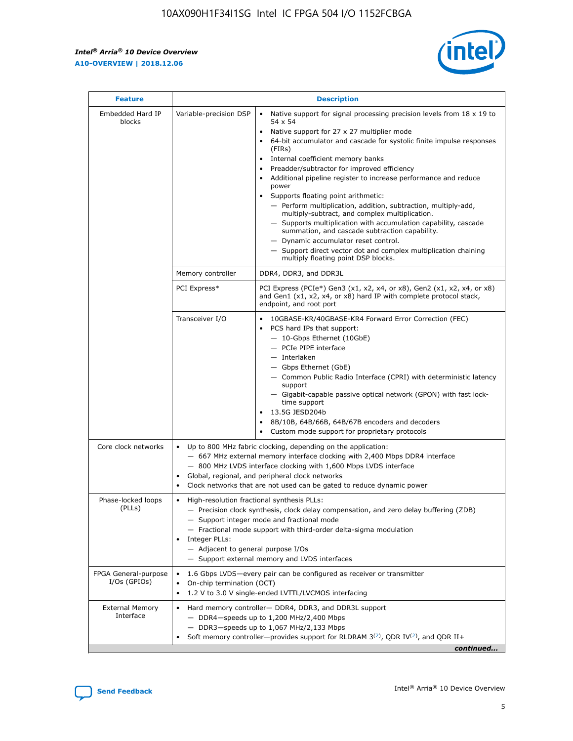$\mathsf{r}$ 



| <b>Feature</b>                         |                                                                                                                | <b>Description</b>                                                                                                                                                                                                                                                                                                                                                                                                                                                                                                                                                                                                                                                                                                                                                                                                                     |
|----------------------------------------|----------------------------------------------------------------------------------------------------------------|----------------------------------------------------------------------------------------------------------------------------------------------------------------------------------------------------------------------------------------------------------------------------------------------------------------------------------------------------------------------------------------------------------------------------------------------------------------------------------------------------------------------------------------------------------------------------------------------------------------------------------------------------------------------------------------------------------------------------------------------------------------------------------------------------------------------------------------|
| Embedded Hard IP<br>blocks             | Variable-precision DSP                                                                                         | Native support for signal processing precision levels from $18 \times 19$ to<br>54 x 54<br>Native support for 27 x 27 multiplier mode<br>64-bit accumulator and cascade for systolic finite impulse responses<br>(FIRs)<br>Internal coefficient memory banks<br>$\bullet$<br>Preadder/subtractor for improved efficiency<br>Additional pipeline register to increase performance and reduce<br>power<br>Supports floating point arithmetic:<br>- Perform multiplication, addition, subtraction, multiply-add,<br>multiply-subtract, and complex multiplication.<br>- Supports multiplication with accumulation capability, cascade<br>summation, and cascade subtraction capability.<br>- Dynamic accumulator reset control.<br>- Support direct vector dot and complex multiplication chaining<br>multiply floating point DSP blocks. |
|                                        | Memory controller                                                                                              | DDR4, DDR3, and DDR3L                                                                                                                                                                                                                                                                                                                                                                                                                                                                                                                                                                                                                                                                                                                                                                                                                  |
|                                        | PCI Express*                                                                                                   | PCI Express (PCIe*) Gen3 (x1, x2, x4, or x8), Gen2 (x1, x2, x4, or x8)<br>and Gen1 (x1, x2, x4, or x8) hard IP with complete protocol stack,<br>endpoint, and root port                                                                                                                                                                                                                                                                                                                                                                                                                                                                                                                                                                                                                                                                |
|                                        | Transceiver I/O                                                                                                | 10GBASE-KR/40GBASE-KR4 Forward Error Correction (FEC)<br>PCS hard IPs that support:<br>$\bullet$<br>- 10-Gbps Ethernet (10GbE)<br>- PCIe PIPE interface<br>$-$ Interlaken<br>- Gbps Ethernet (GbE)<br>- Common Public Radio Interface (CPRI) with deterministic latency<br>support<br>- Gigabit-capable passive optical network (GPON) with fast lock-<br>time support<br>13.5G JESD204b<br>$\bullet$<br>8B/10B, 64B/66B, 64B/67B encoders and decoders<br>Custom mode support for proprietary protocols                                                                                                                                                                                                                                                                                                                               |
| Core clock networks                    | $\bullet$<br>$\bullet$                                                                                         | Up to 800 MHz fabric clocking, depending on the application:<br>- 667 MHz external memory interface clocking with 2,400 Mbps DDR4 interface<br>- 800 MHz LVDS interface clocking with 1,600 Mbps LVDS interface<br>Global, regional, and peripheral clock networks<br>Clock networks that are not used can be gated to reduce dynamic power                                                                                                                                                                                                                                                                                                                                                                                                                                                                                            |
| Phase-locked loops<br>(PLLs)           | High-resolution fractional synthesis PLLs:<br>$\bullet$<br>Integer PLLs:<br>- Adjacent to general purpose I/Os | - Precision clock synthesis, clock delay compensation, and zero delay buffering (ZDB)<br>- Support integer mode and fractional mode<br>- Fractional mode support with third-order delta-sigma modulation<br>- Support external memory and LVDS interfaces                                                                                                                                                                                                                                                                                                                                                                                                                                                                                                                                                                              |
| FPGA General-purpose<br>$I/Os$ (GPIOs) | On-chip termination (OCT)                                                                                      | 1.6 Gbps LVDS-every pair can be configured as receiver or transmitter<br>1.2 V to 3.0 V single-ended LVTTL/LVCMOS interfacing                                                                                                                                                                                                                                                                                                                                                                                                                                                                                                                                                                                                                                                                                                          |
| <b>External Memory</b><br>Interface    |                                                                                                                | Hard memory controller- DDR4, DDR3, and DDR3L support<br>$-$ DDR4 $-$ speeds up to 1,200 MHz/2,400 Mbps<br>- DDR3-speeds up to 1,067 MHz/2,133 Mbps<br>Soft memory controller—provides support for RLDRAM $3^{(2)}$ , QDR IV $^{(2)}$ , and QDR II+<br>continued                                                                                                                                                                                                                                                                                                                                                                                                                                                                                                                                                                       |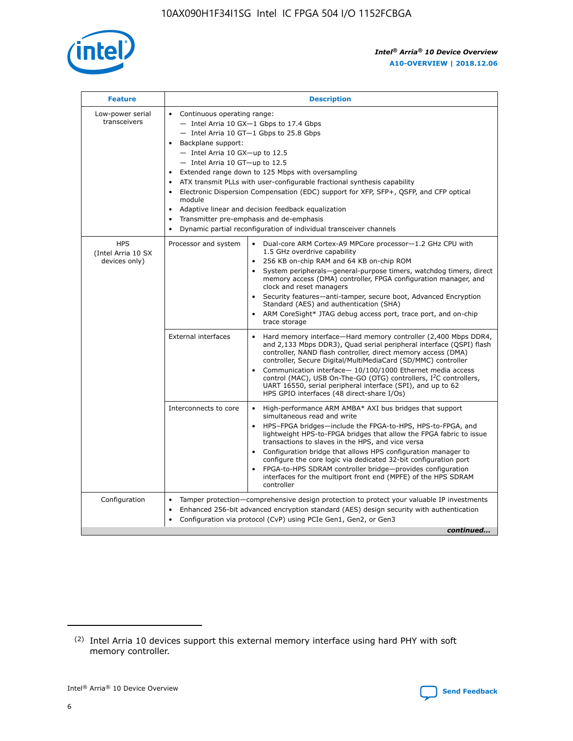

| <b>Feature</b>                                    | <b>Description</b>                                                                                                                                                                                                                                                                                                                                                                                                                                                                                                                                                                                                                             |
|---------------------------------------------------|------------------------------------------------------------------------------------------------------------------------------------------------------------------------------------------------------------------------------------------------------------------------------------------------------------------------------------------------------------------------------------------------------------------------------------------------------------------------------------------------------------------------------------------------------------------------------------------------------------------------------------------------|
| Low-power serial<br>transceivers                  | • Continuous operating range:<br>- Intel Arria 10 GX-1 Gbps to 17.4 Gbps<br>- Intel Arria 10 GT-1 Gbps to 25.8 Gbps<br>Backplane support:<br>$-$ Intel Arria 10 GX-up to 12.5<br>$-$ Intel Arria 10 GT-up to 12.5<br>Extended range down to 125 Mbps with oversampling<br>ATX transmit PLLs with user-configurable fractional synthesis capability<br>• Electronic Dispersion Compensation (EDC) support for XFP, SFP+, QSFP, and CFP optical<br>module<br>• Adaptive linear and decision feedback equalization<br>Transmitter pre-emphasis and de-emphasis<br>$\bullet$<br>Dynamic partial reconfiguration of individual transceiver channels |
| <b>HPS</b><br>(Intel Arria 10 SX<br>devices only) | Processor and system<br>Dual-core ARM Cortex-A9 MPCore processor-1.2 GHz CPU with<br>$\bullet$<br>1.5 GHz overdrive capability<br>256 KB on-chip RAM and 64 KB on-chip ROM<br>$\bullet$<br>System peripherals-general-purpose timers, watchdog timers, direct<br>memory access (DMA) controller, FPGA configuration manager, and<br>clock and reset managers<br>• Security features—anti-tamper, secure boot, Advanced Encryption<br>Standard (AES) and authentication (SHA)<br>ARM CoreSight* JTAG debug access port, trace port, and on-chip<br>trace storage                                                                                |
|                                                   | <b>External interfaces</b><br>Hard memory interface—Hard memory controller (2,400 Mbps DDR4,<br>$\bullet$<br>and 2,133 Mbps DDR3), Quad serial peripheral interface (QSPI) flash<br>controller, NAND flash controller, direct memory access (DMA)<br>controller, Secure Digital/MultiMediaCard (SD/MMC) controller<br>Communication interface-10/100/1000 Ethernet media access<br>control (MAC), USB On-The-GO (OTG) controllers, I <sup>2</sup> C controllers,<br>UART 16550, serial peripheral interface (SPI), and up to 62<br>HPS GPIO interfaces (48 direct-share I/Os)                                                                  |
|                                                   | High-performance ARM AMBA* AXI bus bridges that support<br>Interconnects to core<br>$\bullet$<br>simultaneous read and write<br>HPS-FPGA bridges—include the FPGA-to-HPS, HPS-to-FPGA, and<br>$\bullet$<br>lightweight HPS-to-FPGA bridges that allow the FPGA fabric to issue<br>transactions to slaves in the HPS, and vice versa<br>Configuration bridge that allows HPS configuration manager to<br>configure the core logic via dedicated 32-bit configuration port<br>FPGA-to-HPS SDRAM controller bridge-provides configuration<br>interfaces for the multiport front end (MPFE) of the HPS SDRAM<br>controller                         |
| Configuration                                     | Tamper protection—comprehensive design protection to protect your valuable IP investments<br>Enhanced 256-bit advanced encryption standard (AES) design security with authentication<br>$\bullet$<br>Configuration via protocol (CvP) using PCIe Gen1, Gen2, or Gen3<br>continued                                                                                                                                                                                                                                                                                                                                                              |

<sup>(2)</sup> Intel Arria 10 devices support this external memory interface using hard PHY with soft memory controller.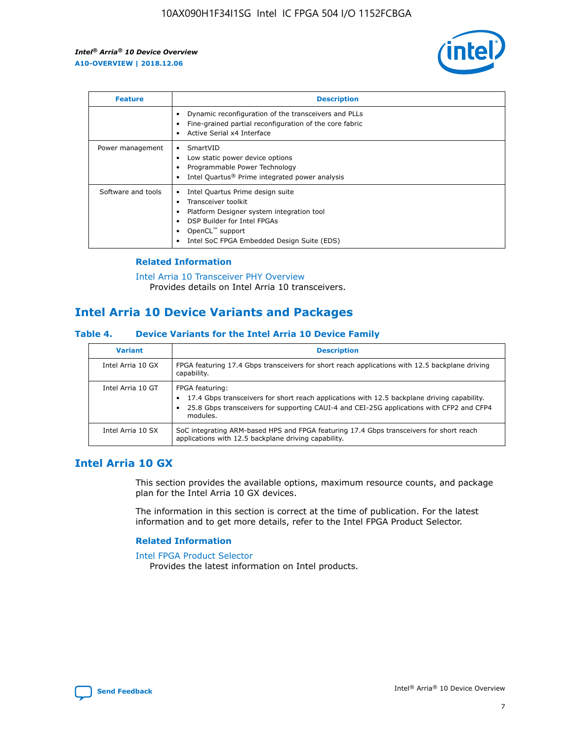

| <b>Feature</b>     | <b>Description</b>                                                                                                                                                                                               |
|--------------------|------------------------------------------------------------------------------------------------------------------------------------------------------------------------------------------------------------------|
|                    | Dynamic reconfiguration of the transceivers and PLLs<br>Fine-grained partial reconfiguration of the core fabric<br>Active Serial x4 Interface<br>$\bullet$                                                       |
| Power management   | SmartVID<br>Low static power device options<br>Programmable Power Technology<br>Intel Quartus <sup>®</sup> Prime integrated power analysis                                                                       |
| Software and tools | Intel Quartus Prime design suite<br>Transceiver toolkit<br>Platform Designer system integration tool<br>DSP Builder for Intel FPGAs<br>OpenCL <sup>™</sup> support<br>Intel SoC FPGA Embedded Design Suite (EDS) |

### **Related Information**

[Intel Arria 10 Transceiver PHY Overview](https://www.intel.com/content/www/us/en/programmable/documentation/nik1398707230472.html#nik1398706768037) Provides details on Intel Arria 10 transceivers.

# **Intel Arria 10 Device Variants and Packages**

### **Table 4. Device Variants for the Intel Arria 10 Device Family**

| <b>Variant</b>    | <b>Description</b>                                                                                                                                                                                                     |
|-------------------|------------------------------------------------------------------------------------------------------------------------------------------------------------------------------------------------------------------------|
| Intel Arria 10 GX | FPGA featuring 17.4 Gbps transceivers for short reach applications with 12.5 backplane driving<br>capability.                                                                                                          |
| Intel Arria 10 GT | FPGA featuring:<br>17.4 Gbps transceivers for short reach applications with 12.5 backplane driving capability.<br>25.8 Gbps transceivers for supporting CAUI-4 and CEI-25G applications with CFP2 and CFP4<br>modules. |
| Intel Arria 10 SX | SoC integrating ARM-based HPS and FPGA featuring 17.4 Gbps transceivers for short reach<br>applications with 12.5 backplane driving capability.                                                                        |

# **Intel Arria 10 GX**

This section provides the available options, maximum resource counts, and package plan for the Intel Arria 10 GX devices.

The information in this section is correct at the time of publication. For the latest information and to get more details, refer to the Intel FPGA Product Selector.

### **Related Information**

#### [Intel FPGA Product Selector](http://www.altera.com/products/selector/psg-selector.html) Provides the latest information on Intel products.

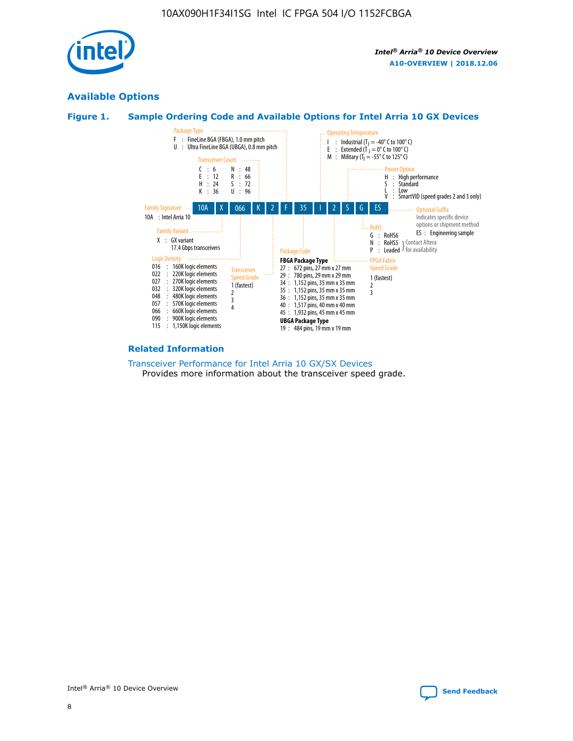

# **Available Options**





### **Related Information**

[Transceiver Performance for Intel Arria 10 GX/SX Devices](https://www.intel.com/content/www/us/en/programmable/documentation/mcn1413182292568.html#mcn1413213965502) Provides more information about the transceiver speed grade.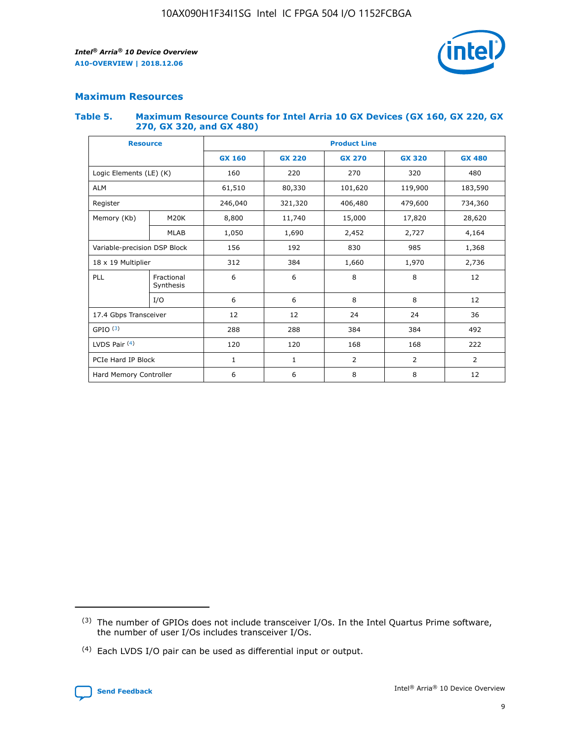

# **Maximum Resources**

### **Table 5. Maximum Resource Counts for Intel Arria 10 GX Devices (GX 160, GX 220, GX 270, GX 320, and GX 480)**

| <b>Resource</b>         |                              | <b>Product Line</b> |                                                 |                    |                |                |  |  |
|-------------------------|------------------------------|---------------------|-------------------------------------------------|--------------------|----------------|----------------|--|--|
|                         |                              | <b>GX 160</b>       | <b>GX 220</b><br><b>GX 270</b><br><b>GX 320</b> |                    |                | <b>GX 480</b>  |  |  |
| Logic Elements (LE) (K) |                              | 160                 | 220                                             | 270                | 320            | 480            |  |  |
| <b>ALM</b>              |                              | 61,510              | 80,330                                          | 101,620            | 119,900        | 183,590        |  |  |
| Register                |                              | 246,040             | 321,320                                         | 406,480<br>479,600 |                | 734,360        |  |  |
| Memory (Kb)             | M <sub>20</sub> K            | 8,800               | 11,740                                          | 15,000             | 17,820         | 28,620         |  |  |
|                         | <b>MLAB</b>                  | 1,050               | 1,690                                           | 2,452              | 2,727          | 4,164          |  |  |
|                         | Variable-precision DSP Block |                     | 192                                             | 830<br>985         |                | 1,368          |  |  |
| 18 x 19 Multiplier      |                              | 312                 | 384                                             | 1,970<br>1,660     |                | 2,736          |  |  |
| PLL                     | Fractional<br>Synthesis      | 6                   | 6                                               | 8                  | 8              | 12             |  |  |
|                         | I/O                          | 6                   | 6                                               | 8                  | 8              | 12             |  |  |
| 17.4 Gbps Transceiver   |                              | 12                  | 12                                              | 24                 | 24             | 36             |  |  |
| GPIO <sup>(3)</sup>     |                              | 288                 | 288                                             | 384                | 384            | 492            |  |  |
| LVDS Pair $(4)$         |                              | 120                 | 120                                             | 168                | 168            | 222            |  |  |
| PCIe Hard IP Block      |                              | 1                   | 1                                               | 2                  | $\overline{2}$ | $\overline{2}$ |  |  |
| Hard Memory Controller  |                              | 6                   | 6                                               | 8                  | 8              | 12             |  |  |

<sup>(4)</sup> Each LVDS I/O pair can be used as differential input or output.



<sup>(3)</sup> The number of GPIOs does not include transceiver I/Os. In the Intel Quartus Prime software, the number of user I/Os includes transceiver I/Os.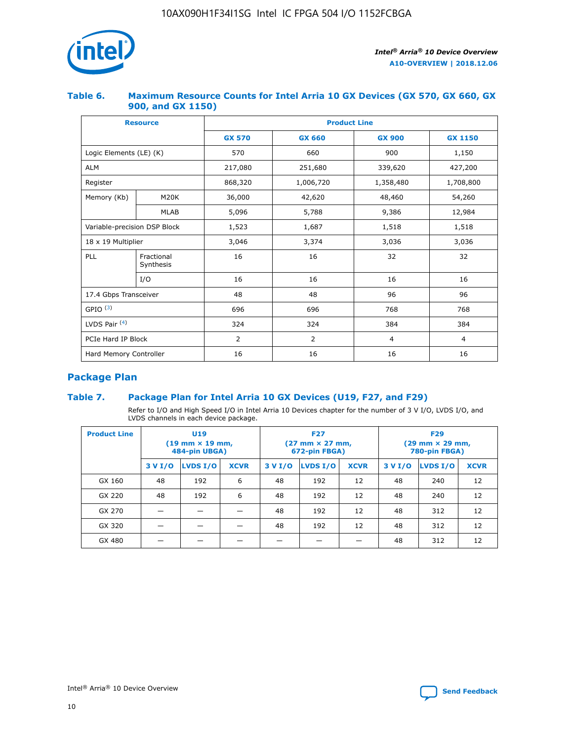

### **Table 6. Maximum Resource Counts for Intel Arria 10 GX Devices (GX 570, GX 660, GX 900, and GX 1150)**

|                              | <b>Resource</b>           | <b>Product Line</b> |                |                |                |  |  |  |
|------------------------------|---------------------------|---------------------|----------------|----------------|----------------|--|--|--|
|                              |                           | <b>GX 570</b>       | <b>GX 660</b>  | <b>GX 900</b>  | <b>GX 1150</b> |  |  |  |
| Logic Elements (LE) (K)      |                           | 570                 | 660            | 900            | 1,150          |  |  |  |
| <b>ALM</b>                   |                           | 217,080             | 251,680        | 339,620        | 427,200        |  |  |  |
| Register                     |                           | 868,320             | 1,006,720      | 1,358,480      | 1,708,800      |  |  |  |
| Memory (Kb)                  | <b>M20K</b>               | 36,000              | 42,620         | 48,460         | 54,260         |  |  |  |
|                              | <b>MLAB</b>               | 5,096               | 5,788          | 9,386          | 12,984         |  |  |  |
| Variable-precision DSP Block |                           | 1,523               | 1,687          | 1,518          | 1,518          |  |  |  |
|                              | $18 \times 19$ Multiplier |                     | 3,374          | 3,036          | 3,036          |  |  |  |
| PLL                          | Fractional<br>Synthesis   | 16                  | 16             | 32             | 32             |  |  |  |
|                              | I/O                       | 16                  | 16             | 16             | 16             |  |  |  |
| 17.4 Gbps Transceiver        |                           | 48                  | 48             | 96             | 96             |  |  |  |
| GPIO <sup>(3)</sup>          |                           | 696                 | 696            | 768            | 768            |  |  |  |
| LVDS Pair $(4)$              |                           | 324                 | 324            | 384            | 384            |  |  |  |
| PCIe Hard IP Block           |                           | 2                   | $\overline{2}$ | $\overline{4}$ | 4              |  |  |  |
| Hard Memory Controller       |                           | 16                  | 16             | 16             | 16             |  |  |  |

# **Package Plan**

# **Table 7. Package Plan for Intel Arria 10 GX Devices (U19, F27, and F29)**

Refer to I/O and High Speed I/O in Intel Arria 10 Devices chapter for the number of 3 V I/O, LVDS I/O, and LVDS channels in each device package.

| <b>Product Line</b> | <b>U19</b><br>$(19 \text{ mm} \times 19 \text{ mm})$<br>484-pin UBGA) |          |             |         | <b>F27</b><br>(27 mm × 27 mm,<br>672-pin FBGA) |             | <b>F29</b><br>(29 mm × 29 mm,<br>780-pin FBGA) |          |             |  |
|---------------------|-----------------------------------------------------------------------|----------|-------------|---------|------------------------------------------------|-------------|------------------------------------------------|----------|-------------|--|
|                     | 3 V I/O                                                               | LVDS I/O | <b>XCVR</b> | 3 V I/O | <b>LVDS I/O</b>                                | <b>XCVR</b> | 3 V I/O                                        | LVDS I/O | <b>XCVR</b> |  |
| GX 160              | 48                                                                    | 192      | 6           | 48      | 192                                            | 12          | 48                                             | 240      | 12          |  |
| GX 220              | 48                                                                    | 192      | 6           | 48      | 192                                            | 12          | 48                                             | 240      | 12          |  |
| GX 270              |                                                                       |          |             | 48      | 192                                            | 12          | 48                                             | 312      | 12          |  |
| GX 320              |                                                                       |          |             | 48      | 192                                            | 12          | 48                                             | 312      | 12          |  |
| GX 480              |                                                                       |          |             |         |                                                |             | 48                                             | 312      | 12          |  |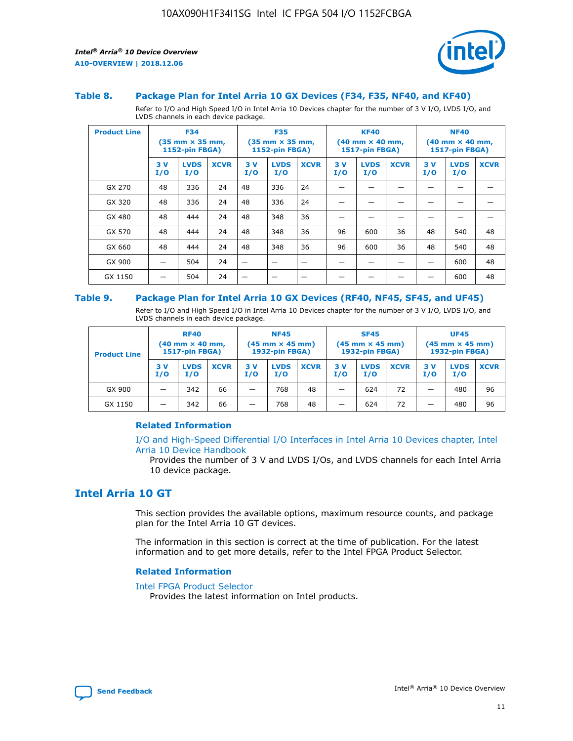

### **Table 8. Package Plan for Intel Arria 10 GX Devices (F34, F35, NF40, and KF40)**

Refer to I/O and High Speed I/O in Intel Arria 10 Devices chapter for the number of 3 V I/O, LVDS I/O, and LVDS channels in each device package.

| <b>Product Line</b> | <b>F34</b><br>$(35 \text{ mm} \times 35 \text{ mm})$<br><b>1152-pin FBGA)</b> |                    | <b>F35</b><br>$(35 \text{ mm} \times 35 \text{ mm})$<br><b>1152-pin FBGA)</b> |           | <b>KF40</b><br>$(40$ mm $\times$ 40 mm,<br>1517-pin FBGA) |             |           | <b>NF40</b><br>$(40 \text{ mm} \times 40 \text{ mm})$<br>1517-pin FBGA) |             |           |                    |             |
|---------------------|-------------------------------------------------------------------------------|--------------------|-------------------------------------------------------------------------------|-----------|-----------------------------------------------------------|-------------|-----------|-------------------------------------------------------------------------|-------------|-----------|--------------------|-------------|
|                     | 3V<br>I/O                                                                     | <b>LVDS</b><br>I/O | <b>XCVR</b>                                                                   | 3V<br>I/O | <b>LVDS</b><br>I/O                                        | <b>XCVR</b> | 3V<br>I/O | <b>LVDS</b><br>I/O                                                      | <b>XCVR</b> | 3V<br>I/O | <b>LVDS</b><br>I/O | <b>XCVR</b> |
| GX 270              | 48                                                                            | 336                | 24                                                                            | 48        | 336                                                       | 24          |           |                                                                         |             |           |                    |             |
| GX 320              | 48                                                                            | 336                | 24                                                                            | 48        | 336                                                       | 24          |           |                                                                         |             |           |                    |             |
| GX 480              | 48                                                                            | 444                | 24                                                                            | 48        | 348                                                       | 36          |           |                                                                         |             |           |                    |             |
| GX 570              | 48                                                                            | 444                | 24                                                                            | 48        | 348                                                       | 36          | 96        | 600                                                                     | 36          | 48        | 540                | 48          |
| GX 660              | 48                                                                            | 444                | 24                                                                            | 48        | 348                                                       | 36          | 96        | 600                                                                     | 36          | 48        | 540                | 48          |
| GX 900              |                                                                               | 504                | 24                                                                            | –         |                                                           | -           |           |                                                                         |             |           | 600                | 48          |
| GX 1150             |                                                                               | 504                | 24                                                                            |           |                                                           |             |           |                                                                         |             |           | 600                | 48          |

### **Table 9. Package Plan for Intel Arria 10 GX Devices (RF40, NF45, SF45, and UF45)**

Refer to I/O and High Speed I/O in Intel Arria 10 Devices chapter for the number of 3 V I/O, LVDS I/O, and LVDS channels in each device package.

| <b>Product Line</b> | <b>RF40</b><br>$(40$ mm $\times$ 40 mm,<br>1517-pin FBGA) |                    |             | <b>NF45</b><br>$(45 \text{ mm} \times 45 \text{ mm})$<br><b>1932-pin FBGA)</b> |                    |             | <b>SF45</b><br>$(45 \text{ mm} \times 45 \text{ mm})$<br><b>1932-pin FBGA)</b> |                    |             | <b>UF45</b><br>$(45 \text{ mm} \times 45 \text{ mm})$<br><b>1932-pin FBGA)</b> |                    |             |
|---------------------|-----------------------------------------------------------|--------------------|-------------|--------------------------------------------------------------------------------|--------------------|-------------|--------------------------------------------------------------------------------|--------------------|-------------|--------------------------------------------------------------------------------|--------------------|-------------|
|                     | 3V<br>I/O                                                 | <b>LVDS</b><br>I/O | <b>XCVR</b> | 3 V<br>I/O                                                                     | <b>LVDS</b><br>I/O | <b>XCVR</b> | 3 V<br>I/O                                                                     | <b>LVDS</b><br>I/O | <b>XCVR</b> | 3V<br>I/O                                                                      | <b>LVDS</b><br>I/O | <b>XCVR</b> |
| GX 900              |                                                           | 342                | 66          | _                                                                              | 768                | 48          |                                                                                | 624                | 72          |                                                                                | 480                | 96          |
| GX 1150             |                                                           | 342                | 66          | _                                                                              | 768                | 48          |                                                                                | 624                | 72          |                                                                                | 480                | 96          |

### **Related Information**

[I/O and High-Speed Differential I/O Interfaces in Intel Arria 10 Devices chapter, Intel](https://www.intel.com/content/www/us/en/programmable/documentation/sam1403482614086.html#sam1403482030321) [Arria 10 Device Handbook](https://www.intel.com/content/www/us/en/programmable/documentation/sam1403482614086.html#sam1403482030321)

Provides the number of 3 V and LVDS I/Os, and LVDS channels for each Intel Arria 10 device package.

# **Intel Arria 10 GT**

This section provides the available options, maximum resource counts, and package plan for the Intel Arria 10 GT devices.

The information in this section is correct at the time of publication. For the latest information and to get more details, refer to the Intel FPGA Product Selector.

#### **Related Information**

### [Intel FPGA Product Selector](http://www.altera.com/products/selector/psg-selector.html)

Provides the latest information on Intel products.

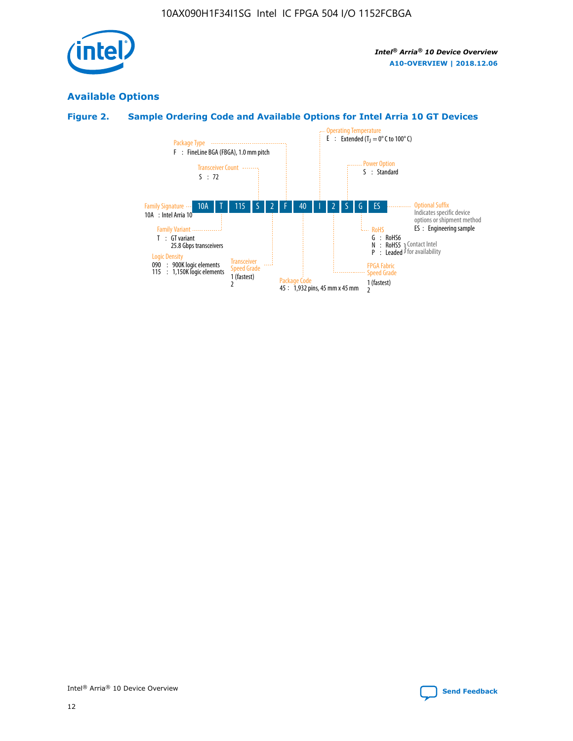

# **Available Options**

# **Figure 2. Sample Ordering Code and Available Options for Intel Arria 10 GT Devices**

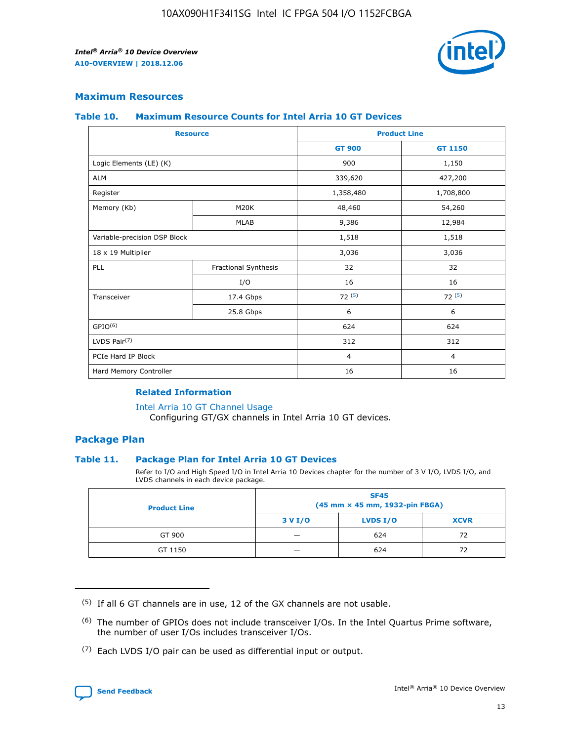

### **Maximum Resources**

### **Table 10. Maximum Resource Counts for Intel Arria 10 GT Devices**

| <b>Resource</b>              |                      | <b>Product Line</b> |                |  |
|------------------------------|----------------------|---------------------|----------------|--|
|                              |                      | <b>GT 900</b>       | <b>GT 1150</b> |  |
| Logic Elements (LE) (K)      |                      | 900                 | 1,150          |  |
| <b>ALM</b>                   |                      | 339,620             | 427,200        |  |
| Register                     |                      | 1,358,480           | 1,708,800      |  |
| Memory (Kb)                  | M20K                 | 48,460              | 54,260         |  |
|                              | <b>MLAB</b>          | 9,386               | 12,984         |  |
| Variable-precision DSP Block |                      | 1,518               | 1,518          |  |
| 18 x 19 Multiplier           |                      | 3,036               | 3,036          |  |
| PLL                          | Fractional Synthesis | 32                  | 32             |  |
|                              | I/O                  | 16                  | 16             |  |
| Transceiver                  | 17.4 Gbps            | 72(5)               | 72(5)          |  |
|                              | 25.8 Gbps            | 6                   | 6              |  |
| GPIO <sup>(6)</sup>          |                      | 624                 | 624            |  |
| LVDS Pair $(7)$              |                      | 312                 | 312            |  |
| PCIe Hard IP Block           |                      | $\overline{4}$      | $\overline{4}$ |  |
| Hard Memory Controller       |                      | 16                  | 16             |  |

### **Related Information**

#### [Intel Arria 10 GT Channel Usage](https://www.intel.com/content/www/us/en/programmable/documentation/nik1398707230472.html#nik1398707008178)

Configuring GT/GX channels in Intel Arria 10 GT devices.

### **Package Plan**

### **Table 11. Package Plan for Intel Arria 10 GT Devices**

Refer to I/O and High Speed I/O in Intel Arria 10 Devices chapter for the number of 3 V I/O, LVDS I/O, and LVDS channels in each device package.

| <b>Product Line</b> | <b>SF45</b><br>(45 mm × 45 mm, 1932-pin FBGA) |                 |             |  |  |  |
|---------------------|-----------------------------------------------|-----------------|-------------|--|--|--|
|                     | 3 V I/O                                       | <b>LVDS I/O</b> | <b>XCVR</b> |  |  |  |
| GT 900              |                                               | 624             | 72          |  |  |  |
| GT 1150             |                                               | 624             | 72          |  |  |  |

<sup>(7)</sup> Each LVDS I/O pair can be used as differential input or output.



 $(5)$  If all 6 GT channels are in use, 12 of the GX channels are not usable.

<sup>(6)</sup> The number of GPIOs does not include transceiver I/Os. In the Intel Quartus Prime software, the number of user I/Os includes transceiver I/Os.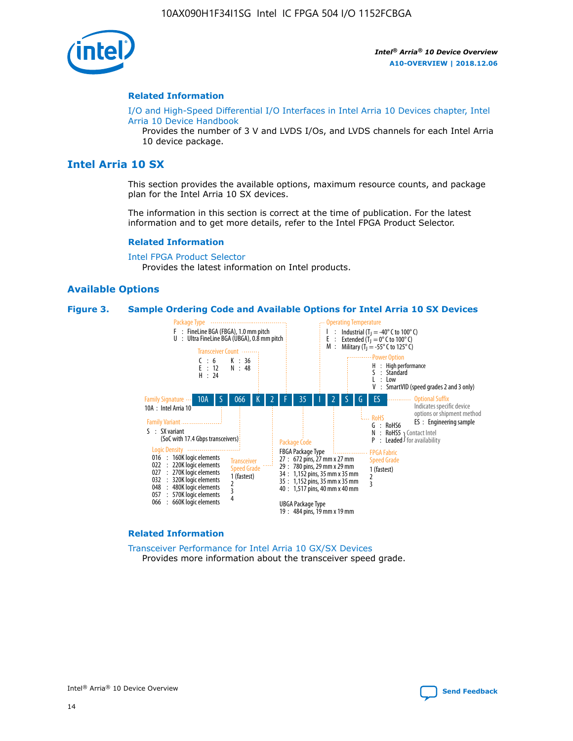

### **Related Information**

[I/O and High-Speed Differential I/O Interfaces in Intel Arria 10 Devices chapter, Intel](https://www.intel.com/content/www/us/en/programmable/documentation/sam1403482614086.html#sam1403482030321) [Arria 10 Device Handbook](https://www.intel.com/content/www/us/en/programmable/documentation/sam1403482614086.html#sam1403482030321)

Provides the number of 3 V and LVDS I/Os, and LVDS channels for each Intel Arria 10 device package.

# **Intel Arria 10 SX**

This section provides the available options, maximum resource counts, and package plan for the Intel Arria 10 SX devices.

The information in this section is correct at the time of publication. For the latest information and to get more details, refer to the Intel FPGA Product Selector.

### **Related Information**

[Intel FPGA Product Selector](http://www.altera.com/products/selector/psg-selector.html) Provides the latest information on Intel products.

### **Available Options**

#### **Figure 3. Sample Ordering Code and Available Options for Intel Arria 10 SX Devices**



#### **Related Information**

[Transceiver Performance for Intel Arria 10 GX/SX Devices](https://www.intel.com/content/www/us/en/programmable/documentation/mcn1413182292568.html#mcn1413213965502) Provides more information about the transceiver speed grade.

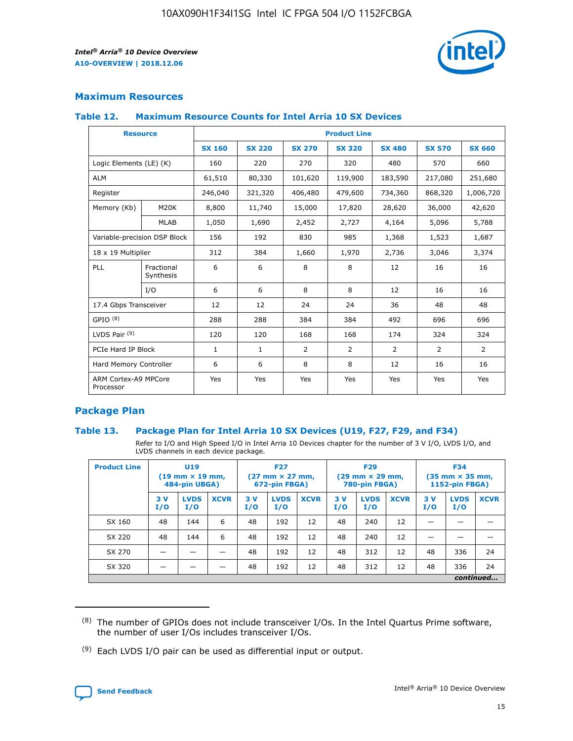

# **Maximum Resources**

### **Table 12. Maximum Resource Counts for Intel Arria 10 SX Devices**

| <b>Resource</b>                   |                         | <b>Product Line</b> |               |                |                |               |                |               |  |  |  |
|-----------------------------------|-------------------------|---------------------|---------------|----------------|----------------|---------------|----------------|---------------|--|--|--|
|                                   |                         | <b>SX 160</b>       | <b>SX 220</b> | <b>SX 270</b>  | <b>SX 320</b>  | <b>SX 480</b> | <b>SX 570</b>  | <b>SX 660</b> |  |  |  |
| Logic Elements (LE) (K)           |                         | 160                 | 220           | 270            | 320            | 480           | 570            | 660           |  |  |  |
| <b>ALM</b>                        |                         | 61,510              | 80,330        | 101,620        | 119,900        | 183,590       | 217,080        | 251,680       |  |  |  |
| Register                          |                         | 246,040             | 321,320       | 406,480        | 479,600        | 734,360       | 868,320        | 1,006,720     |  |  |  |
| Memory (Kb)                       | M <sub>20</sub> K       | 8,800               | 11,740        | 15,000         | 17,820         | 28,620        | 36,000         | 42,620        |  |  |  |
|                                   | <b>MLAB</b>             | 1,050               | 1,690         | 2,452          | 2,727          | 4,164         | 5,096          | 5,788         |  |  |  |
| Variable-precision DSP Block      |                         | 156                 | 192           | 830            | 985            | 1,368         | 1,523          | 1,687         |  |  |  |
| 18 x 19 Multiplier                |                         | 312                 | 384           | 1,660          | 1,970          | 2,736         | 3,046          | 3,374         |  |  |  |
| PLL                               | Fractional<br>Synthesis | 6                   | 6             | 8              | 8              | 12            | 16             | 16            |  |  |  |
|                                   | I/O                     | 6                   | 6             | 8              | 8              | 12            | 16             | 16            |  |  |  |
| 17.4 Gbps Transceiver             |                         | 12                  | 12            | 24             | 24             | 36            | 48             | 48            |  |  |  |
| GPIO <sup>(8)</sup>               |                         | 288                 | 288           | 384            | 384            | 492           | 696            | 696           |  |  |  |
| LVDS Pair $(9)$                   |                         | 120                 | 120           | 168            | 168            | 174           | 324            | 324           |  |  |  |
| PCIe Hard IP Block                |                         | $\mathbf{1}$        | 1             | $\overline{2}$ | $\overline{2}$ | 2             | $\overline{2}$ | 2             |  |  |  |
| Hard Memory Controller            |                         | 6                   | 6             | 8              | 8              | 12            | 16             | 16            |  |  |  |
| ARM Cortex-A9 MPCore<br>Processor |                         | Yes                 | Yes           | Yes            | Yes            | Yes           | Yes            | Yes           |  |  |  |

# **Package Plan**

### **Table 13. Package Plan for Intel Arria 10 SX Devices (U19, F27, F29, and F34)**

Refer to I/O and High Speed I/O in Intel Arria 10 Devices chapter for the number of 3 V I/O, LVDS I/O, and LVDS channels in each device package.

| <b>Product Line</b> | U19<br>$(19 \text{ mm} \times 19 \text{ mm})$<br>484-pin UBGA) |                    |             | <b>F27</b><br>$(27 \text{ mm} \times 27 \text{ mm})$ .<br>672-pin FBGA) |                    | <b>F29</b><br>$(29 \text{ mm} \times 29 \text{ mm})$ .<br>780-pin FBGA) |            |                    | <b>F34</b><br>$(35 \text{ mm} \times 35 \text{ mm})$<br><b>1152-pin FBGA)</b> |           |                    |             |
|---------------------|----------------------------------------------------------------|--------------------|-------------|-------------------------------------------------------------------------|--------------------|-------------------------------------------------------------------------|------------|--------------------|-------------------------------------------------------------------------------|-----------|--------------------|-------------|
|                     | 3V<br>I/O                                                      | <b>LVDS</b><br>I/O | <b>XCVR</b> | 3V<br>I/O                                                               | <b>LVDS</b><br>I/O | <b>XCVR</b>                                                             | 3 V<br>I/O | <b>LVDS</b><br>I/O | <b>XCVR</b>                                                                   | 3V<br>I/O | <b>LVDS</b><br>I/O | <b>XCVR</b> |
| SX 160              | 48                                                             | 144                | 6           | 48                                                                      | 192                | 12                                                                      | 48         | 240                | 12                                                                            |           |                    |             |
| SX 220              | 48                                                             | 144                | 6           | 48                                                                      | 192                | 12                                                                      | 48         | 240                | 12                                                                            |           |                    |             |
| SX 270              |                                                                |                    |             | 48                                                                      | 192                | 12                                                                      | 48         | 312                | 12                                                                            | 48        | 336                | 24          |
| SX 320              |                                                                |                    |             | 48                                                                      | 192                | 12                                                                      | 48         | 312                | 12                                                                            | 48        | 336                | 24          |
|                     |                                                                |                    |             |                                                                         |                    |                                                                         |            |                    |                                                                               |           |                    | continued   |

 $(8)$  The number of GPIOs does not include transceiver I/Os. In the Intel Quartus Prime software, the number of user I/Os includes transceiver I/Os.

 $(9)$  Each LVDS I/O pair can be used as differential input or output.

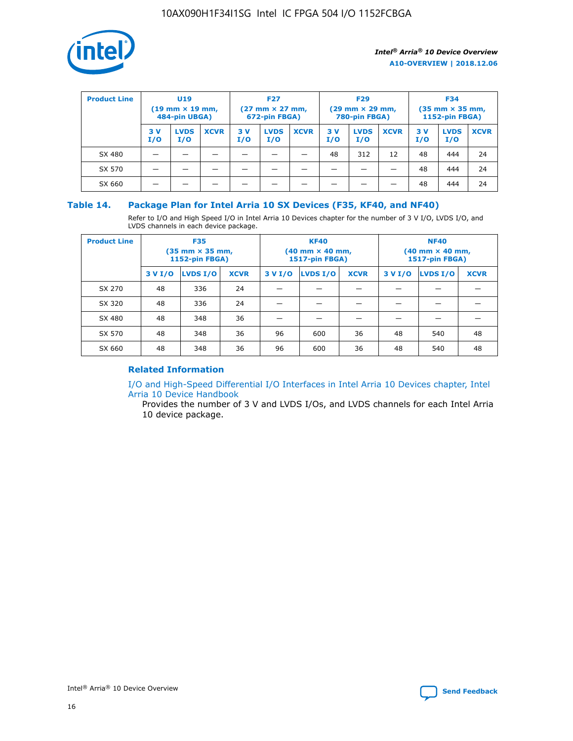

| <b>Product Line</b> | U <sub>19</sub><br>$(19 \text{ mm} \times 19 \text{ mm})$<br>484-pin UBGA) |                    | <b>F27</b><br>$(27 \text{ mm} \times 27 \text{ mm})$<br>672-pin FBGA) |            | <b>F29</b><br>$(29$ mm $\times$ 29 mm,<br>780-pin FBGA) |             |           | <b>F34</b><br>$(35$ mm $\times$ 35 mm,<br><b>1152-pin FBGA)</b> |             |            |                    |             |
|---------------------|----------------------------------------------------------------------------|--------------------|-----------------------------------------------------------------------|------------|---------------------------------------------------------|-------------|-----------|-----------------------------------------------------------------|-------------|------------|--------------------|-------------|
|                     | 3 V<br>I/O                                                                 | <b>LVDS</b><br>I/O | <b>XCVR</b>                                                           | 3 V<br>I/O | <b>LVDS</b><br>I/O                                      | <b>XCVR</b> | 3V<br>I/O | <b>LVDS</b><br>I/O                                              | <b>XCVR</b> | 3 V<br>I/O | <b>LVDS</b><br>I/O | <b>XCVR</b> |
| SX 480              |                                                                            |                    |                                                                       |            |                                                         |             | 48        | 312                                                             | 12          | 48         | 444                | 24          |
| SX 570              |                                                                            |                    |                                                                       |            |                                                         |             |           |                                                                 |             | 48         | 444                | 24          |
| SX 660              |                                                                            |                    |                                                                       |            |                                                         |             |           |                                                                 |             | 48         | 444                | 24          |

### **Table 14. Package Plan for Intel Arria 10 SX Devices (F35, KF40, and NF40)**

Refer to I/O and High Speed I/O in Intel Arria 10 Devices chapter for the number of 3 V I/O, LVDS I/O, and LVDS channels in each device package.

| <b>Product Line</b> | <b>F35</b><br>$(35 \text{ mm} \times 35 \text{ mm})$<br><b>1152-pin FBGA)</b> |          |             |                                           | <b>KF40</b><br>(40 mm × 40 mm,<br>1517-pin FBGA) |    | <b>NF40</b><br>$(40 \text{ mm} \times 40 \text{ mm})$<br>1517-pin FBGA) |          |             |  |
|---------------------|-------------------------------------------------------------------------------|----------|-------------|-------------------------------------------|--------------------------------------------------|----|-------------------------------------------------------------------------|----------|-------------|--|
|                     | 3 V I/O                                                                       | LVDS I/O | <b>XCVR</b> | <b>LVDS I/O</b><br><b>XCVR</b><br>3 V I/O |                                                  |    | 3 V I/O                                                                 | LVDS I/O | <b>XCVR</b> |  |
| SX 270              | 48                                                                            | 336      | 24          |                                           |                                                  |    |                                                                         |          |             |  |
| SX 320              | 48                                                                            | 336      | 24          |                                           |                                                  |    |                                                                         |          |             |  |
| SX 480              | 48                                                                            | 348      | 36          |                                           |                                                  |    |                                                                         |          |             |  |
| SX 570              | 48                                                                            | 348      | 36          | 96<br>36<br>600                           |                                                  | 48 | 540                                                                     | 48       |             |  |
| SX 660              | 48                                                                            | 348      | 36          | 96                                        | 600                                              | 36 | 48                                                                      | 540      | 48          |  |

# **Related Information**

[I/O and High-Speed Differential I/O Interfaces in Intel Arria 10 Devices chapter, Intel](https://www.intel.com/content/www/us/en/programmable/documentation/sam1403482614086.html#sam1403482030321) [Arria 10 Device Handbook](https://www.intel.com/content/www/us/en/programmable/documentation/sam1403482614086.html#sam1403482030321)

Provides the number of 3 V and LVDS I/Os, and LVDS channels for each Intel Arria 10 device package.

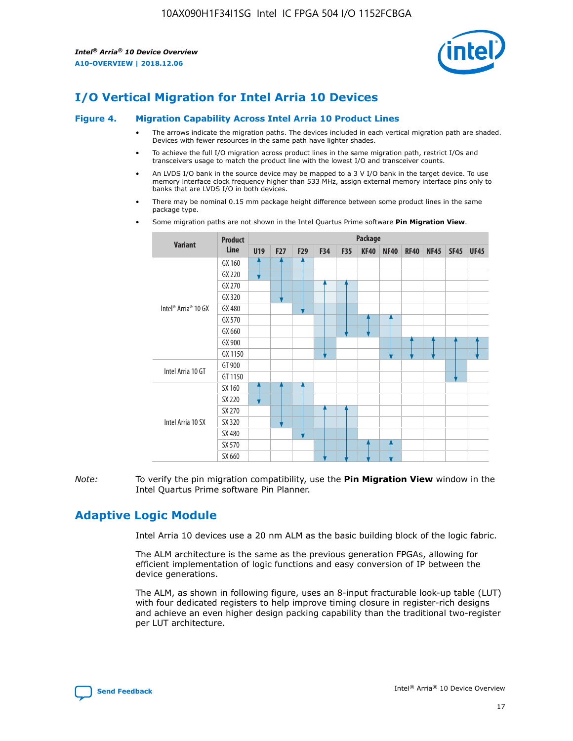

# **I/O Vertical Migration for Intel Arria 10 Devices**

### **Figure 4. Migration Capability Across Intel Arria 10 Product Lines**

- The arrows indicate the migration paths. The devices included in each vertical migration path are shaded. Devices with fewer resources in the same path have lighter shades.
- To achieve the full I/O migration across product lines in the same migration path, restrict I/Os and transceivers usage to match the product line with the lowest I/O and transceiver counts.
- An LVDS I/O bank in the source device may be mapped to a 3 V I/O bank in the target device. To use memory interface clock frequency higher than 533 MHz, assign external memory interface pins only to banks that are LVDS I/O in both devices.
- There may be nominal 0.15 mm package height difference between some product lines in the same package type.
	- **Variant Product Line Package U19 F27 F29 F34 F35 KF40 NF40 RF40 NF45 SF45 UF45** Intel® Arria® 10 GX GX 160 GX 220 GX 270 GX 320 GX 480 GX 570 GX 660 GX 900 GX 1150 Intel Arria 10 GT GT 900 GT 1150 Intel Arria 10 SX SX 160 SX 220 SX 270 SX 320 SX 480 SX 570 SX 660
- Some migration paths are not shown in the Intel Quartus Prime software **Pin Migration View**.

*Note:* To verify the pin migration compatibility, use the **Pin Migration View** window in the Intel Quartus Prime software Pin Planner.

# **Adaptive Logic Module**

Intel Arria 10 devices use a 20 nm ALM as the basic building block of the logic fabric.

The ALM architecture is the same as the previous generation FPGAs, allowing for efficient implementation of logic functions and easy conversion of IP between the device generations.

The ALM, as shown in following figure, uses an 8-input fracturable look-up table (LUT) with four dedicated registers to help improve timing closure in register-rich designs and achieve an even higher design packing capability than the traditional two-register per LUT architecture.

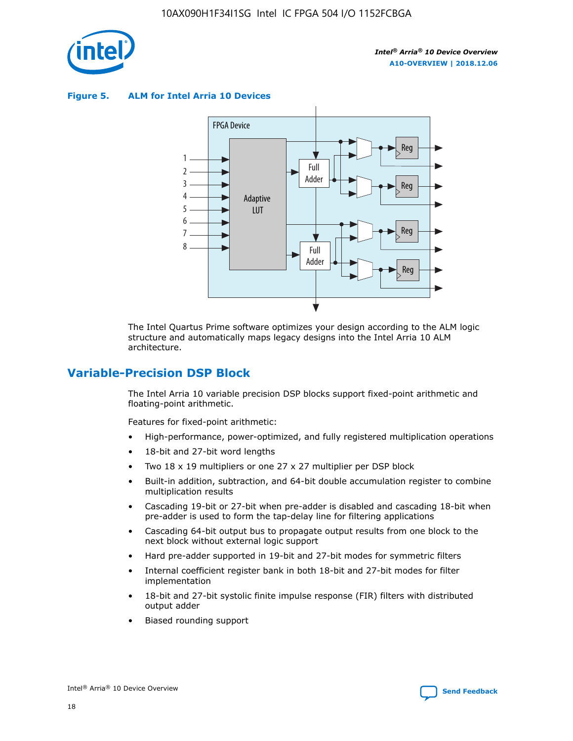

**Figure 5. ALM for Intel Arria 10 Devices**



The Intel Quartus Prime software optimizes your design according to the ALM logic structure and automatically maps legacy designs into the Intel Arria 10 ALM architecture.

# **Variable-Precision DSP Block**

The Intel Arria 10 variable precision DSP blocks support fixed-point arithmetic and floating-point arithmetic.

Features for fixed-point arithmetic:

- High-performance, power-optimized, and fully registered multiplication operations
- 18-bit and 27-bit word lengths
- Two 18 x 19 multipliers or one 27 x 27 multiplier per DSP block
- Built-in addition, subtraction, and 64-bit double accumulation register to combine multiplication results
- Cascading 19-bit or 27-bit when pre-adder is disabled and cascading 18-bit when pre-adder is used to form the tap-delay line for filtering applications
- Cascading 64-bit output bus to propagate output results from one block to the next block without external logic support
- Hard pre-adder supported in 19-bit and 27-bit modes for symmetric filters
- Internal coefficient register bank in both 18-bit and 27-bit modes for filter implementation
- 18-bit and 27-bit systolic finite impulse response (FIR) filters with distributed output adder
- Biased rounding support

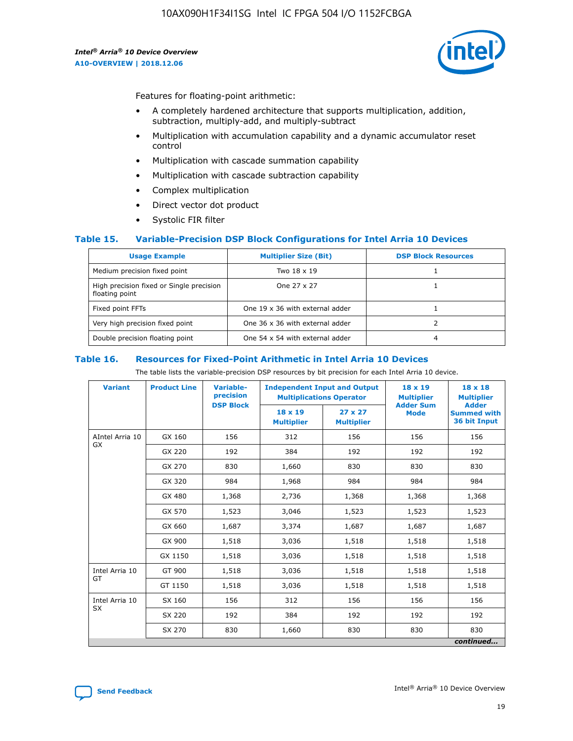

Features for floating-point arithmetic:

- A completely hardened architecture that supports multiplication, addition, subtraction, multiply-add, and multiply-subtract
- Multiplication with accumulation capability and a dynamic accumulator reset control
- Multiplication with cascade summation capability
- Multiplication with cascade subtraction capability
- Complex multiplication
- Direct vector dot product
- Systolic FIR filter

### **Table 15. Variable-Precision DSP Block Configurations for Intel Arria 10 Devices**

| <b>Usage Example</b>                                       | <b>Multiplier Size (Bit)</b>    | <b>DSP Block Resources</b> |
|------------------------------------------------------------|---------------------------------|----------------------------|
| Medium precision fixed point                               | Two 18 x 19                     |                            |
| High precision fixed or Single precision<br>floating point | One 27 x 27                     |                            |
| Fixed point FFTs                                           | One 19 x 36 with external adder |                            |
| Very high precision fixed point                            | One 36 x 36 with external adder |                            |
| Double precision floating point                            | One 54 x 54 with external adder | 4                          |

#### **Table 16. Resources for Fixed-Point Arithmetic in Intel Arria 10 Devices**

The table lists the variable-precision DSP resources by bit precision for each Intel Arria 10 device.

| <b>Variant</b>  | <b>Product Line</b> | Variable-<br>precision<br><b>DSP Block</b> | <b>Independent Input and Output</b><br><b>Multiplications Operator</b> |                                     | 18 x 19<br><b>Multiplier</b><br><b>Adder Sum</b> | $18 \times 18$<br><b>Multiplier</b><br><b>Adder</b> |
|-----------------|---------------------|--------------------------------------------|------------------------------------------------------------------------|-------------------------------------|--------------------------------------------------|-----------------------------------------------------|
|                 |                     |                                            | 18 x 19<br><b>Multiplier</b>                                           | $27 \times 27$<br><b>Multiplier</b> | <b>Mode</b>                                      | <b>Summed with</b><br>36 bit Input                  |
| AIntel Arria 10 | GX 160              | 156                                        | 312                                                                    | 156                                 | 156                                              | 156                                                 |
| GX              | GX 220              | 192                                        | 384                                                                    | 192                                 | 192                                              | 192                                                 |
|                 | GX 270              | 830                                        | 1,660                                                                  | 830                                 | 830                                              | 830                                                 |
|                 | GX 320              | 984                                        | 1,968                                                                  | 984                                 | 984                                              | 984                                                 |
|                 | GX 480              | 1,368                                      | 2,736                                                                  | 1,368                               | 1,368                                            | 1,368                                               |
|                 | GX 570              | 1,523                                      | 3,046                                                                  | 1,523                               | 1,523                                            | 1,523                                               |
|                 | GX 660              | 1,687                                      | 3,374                                                                  | 1,687                               | 1,687                                            | 1,687                                               |
|                 | GX 900              | 1,518                                      | 3,036                                                                  | 1,518                               | 1,518                                            | 1,518                                               |
|                 | GX 1150             | 1,518                                      | 3,036                                                                  | 1,518                               | 1,518                                            | 1,518                                               |
| Intel Arria 10  | GT 900              | 1,518                                      | 3,036                                                                  | 1,518                               | 1,518                                            | 1,518                                               |
| GT              | GT 1150             | 1,518                                      | 3,036                                                                  | 1,518                               | 1,518                                            | 1,518                                               |
| Intel Arria 10  | SX 160              | 156                                        | 312                                                                    | 156                                 | 156                                              | 156                                                 |
| <b>SX</b>       | SX 220              | 192                                        | 384                                                                    | 192                                 | 192                                              | 192                                                 |
|                 | SX 270              | 830                                        | 1,660                                                                  | 830                                 | 830                                              | 830                                                 |
|                 |                     |                                            |                                                                        |                                     |                                                  | continued                                           |

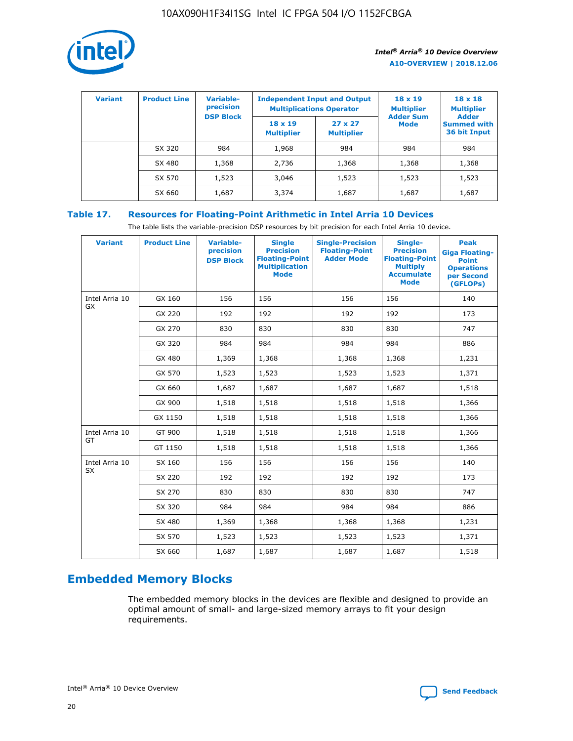

| <b>Variant</b> | <b>Product Line</b> | <b>Variable-</b><br>precision<br><b>DSP Block</b> | <b>Independent Input and Output</b><br><b>Multiplications Operator</b> |                                     | $18 \times 19$<br><b>Multiplier</b><br><b>Adder Sum</b> | $18 \times 18$<br><b>Multiplier</b><br><b>Adder</b> |  |
|----------------|---------------------|---------------------------------------------------|------------------------------------------------------------------------|-------------------------------------|---------------------------------------------------------|-----------------------------------------------------|--|
|                |                     |                                                   | $18 \times 19$<br><b>Multiplier</b>                                    | $27 \times 27$<br><b>Multiplier</b> | <b>Mode</b>                                             | <b>Summed with</b><br>36 bit Input                  |  |
|                | SX 320              | 984                                               | 1,968                                                                  | 984                                 | 984                                                     | 984                                                 |  |
|                | SX 480              | 1,368                                             | 2,736                                                                  | 1,368                               | 1,368                                                   | 1,368                                               |  |
|                | SX 570              | 1,523                                             | 3,046                                                                  | 1,523                               | 1,523                                                   | 1,523                                               |  |
|                | SX 660              | 1,687                                             | 3,374                                                                  | 1,687                               | 1,687                                                   | 1,687                                               |  |

# **Table 17. Resources for Floating-Point Arithmetic in Intel Arria 10 Devices**

The table lists the variable-precision DSP resources by bit precision for each Intel Arria 10 device.

| <b>Variant</b> | <b>Product Line</b> | <b>Variable-</b><br>precision<br><b>DSP Block</b> | <b>Single</b><br><b>Precision</b><br><b>Floating-Point</b><br><b>Multiplication</b><br><b>Mode</b> | <b>Single-Precision</b><br><b>Floating-Point</b><br><b>Adder Mode</b> | Single-<br><b>Precision</b><br><b>Floating-Point</b><br><b>Multiply</b><br><b>Accumulate</b><br><b>Mode</b> | <b>Peak</b><br><b>Giga Floating-</b><br><b>Point</b><br><b>Operations</b><br>per Second<br>(GFLOPs) |
|----------------|---------------------|---------------------------------------------------|----------------------------------------------------------------------------------------------------|-----------------------------------------------------------------------|-------------------------------------------------------------------------------------------------------------|-----------------------------------------------------------------------------------------------------|
| Intel Arria 10 | GX 160              | 156                                               | 156                                                                                                | 156                                                                   | 156                                                                                                         | 140                                                                                                 |
| GX             | GX 220              | 192                                               | 192                                                                                                | 192                                                                   | 192                                                                                                         | 173                                                                                                 |
|                | GX 270              | 830                                               | 830                                                                                                | 830                                                                   | 830                                                                                                         | 747                                                                                                 |
|                | GX 320              | 984                                               | 984                                                                                                | 984                                                                   | 984                                                                                                         | 886                                                                                                 |
|                | GX 480              | 1,369                                             | 1,368                                                                                              | 1,368                                                                 | 1,368                                                                                                       | 1,231                                                                                               |
|                | GX 570              | 1,523                                             | 1,523                                                                                              | 1,523                                                                 | 1,523                                                                                                       | 1,371                                                                                               |
|                | GX 660              | 1,687                                             | 1,687                                                                                              | 1,687                                                                 | 1,687                                                                                                       | 1,518                                                                                               |
|                | GX 900              | 1,518                                             | 1,518                                                                                              | 1,518                                                                 | 1,518                                                                                                       | 1,366                                                                                               |
|                | GX 1150             | 1,518                                             | 1,518                                                                                              | 1,518                                                                 | 1,518                                                                                                       | 1,366                                                                                               |
| Intel Arria 10 | GT 900              | 1,518                                             | 1,518                                                                                              | 1,518                                                                 | 1,518                                                                                                       | 1,366                                                                                               |
| GT             | GT 1150             | 1,518                                             | 1,518                                                                                              | 1,518                                                                 | 1,518                                                                                                       | 1,366                                                                                               |
| Intel Arria 10 | SX 160              | 156                                               | 156                                                                                                | 156                                                                   | 156                                                                                                         | 140                                                                                                 |
| <b>SX</b>      | SX 220              | 192                                               | 192                                                                                                | 192                                                                   | 192                                                                                                         | 173                                                                                                 |
|                | SX 270              | 830                                               | 830                                                                                                | 830                                                                   | 830                                                                                                         | 747                                                                                                 |
|                | SX 320              | 984                                               | 984                                                                                                | 984                                                                   | 984                                                                                                         | 886                                                                                                 |
|                | SX 480              | 1,369                                             | 1,368                                                                                              | 1,368                                                                 | 1,368                                                                                                       | 1,231                                                                                               |
|                | SX 570              | 1,523                                             | 1,523                                                                                              | 1,523                                                                 | 1,523                                                                                                       | 1,371                                                                                               |
|                | SX 660              | 1,687                                             | 1,687                                                                                              | 1,687                                                                 | 1,687                                                                                                       | 1,518                                                                                               |

# **Embedded Memory Blocks**

The embedded memory blocks in the devices are flexible and designed to provide an optimal amount of small- and large-sized memory arrays to fit your design requirements.

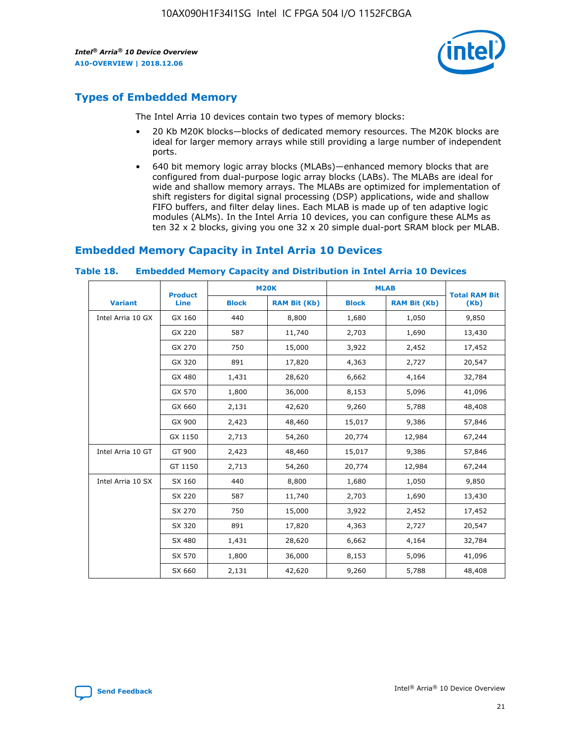

# **Types of Embedded Memory**

The Intel Arria 10 devices contain two types of memory blocks:

- 20 Kb M20K blocks—blocks of dedicated memory resources. The M20K blocks are ideal for larger memory arrays while still providing a large number of independent ports.
- 640 bit memory logic array blocks (MLABs)—enhanced memory blocks that are configured from dual-purpose logic array blocks (LABs). The MLABs are ideal for wide and shallow memory arrays. The MLABs are optimized for implementation of shift registers for digital signal processing (DSP) applications, wide and shallow FIFO buffers, and filter delay lines. Each MLAB is made up of ten adaptive logic modules (ALMs). In the Intel Arria 10 devices, you can configure these ALMs as ten 32 x 2 blocks, giving you one 32 x 20 simple dual-port SRAM block per MLAB.

# **Embedded Memory Capacity in Intel Arria 10 Devices**

|                   | <b>Product</b> |              | <b>M20K</b>         | <b>MLAB</b>  |                     | <b>Total RAM Bit</b> |
|-------------------|----------------|--------------|---------------------|--------------|---------------------|----------------------|
| <b>Variant</b>    | <b>Line</b>    | <b>Block</b> | <b>RAM Bit (Kb)</b> | <b>Block</b> | <b>RAM Bit (Kb)</b> | (Kb)                 |
| Intel Arria 10 GX | GX 160         | 440          | 8,800               | 1,680        | 1,050               | 9,850                |
|                   | GX 220         | 587          | 11,740              | 2,703        | 1,690               | 13,430               |
|                   | GX 270         | 750          | 15,000              | 3,922        | 2,452               | 17,452               |
|                   | GX 320         | 891          | 17,820              | 4,363        | 2,727               | 20,547               |
|                   | GX 480         | 1,431        | 28,620              | 6,662        | 4,164               | 32,784               |
|                   | GX 570         | 1,800        | 36,000              | 8,153        | 5,096               | 41,096               |
|                   | GX 660         | 2,131        | 42,620              | 9,260        | 5,788               | 48,408               |
|                   | GX 900         | 2,423        | 48,460              | 15,017       | 9,386               | 57,846               |
|                   | GX 1150        | 2,713        | 54,260              | 20,774       | 12,984              | 67,244               |
| Intel Arria 10 GT | GT 900         | 2,423        | 48,460              | 15,017       | 9,386               | 57,846               |
|                   | GT 1150        | 2,713        | 54,260              | 20,774       | 12,984              | 67,244               |
| Intel Arria 10 SX | SX 160         | 440          | 8,800               | 1,680        | 1,050               | 9,850                |
|                   | SX 220         | 587          | 11,740              | 2,703        | 1,690               | 13,430               |
|                   | SX 270         | 750          | 15,000              | 3,922        | 2,452               | 17,452               |
|                   | SX 320         | 891          | 17,820              | 4,363        | 2,727               | 20,547               |
|                   | SX 480         | 1,431        | 28,620              | 6,662        | 4,164               | 32,784               |
|                   | SX 570         | 1,800        | 36,000              | 8,153        | 5,096               | 41,096               |
|                   | SX 660         | 2,131        | 42,620              | 9,260        | 5,788               | 48,408               |

#### **Table 18. Embedded Memory Capacity and Distribution in Intel Arria 10 Devices**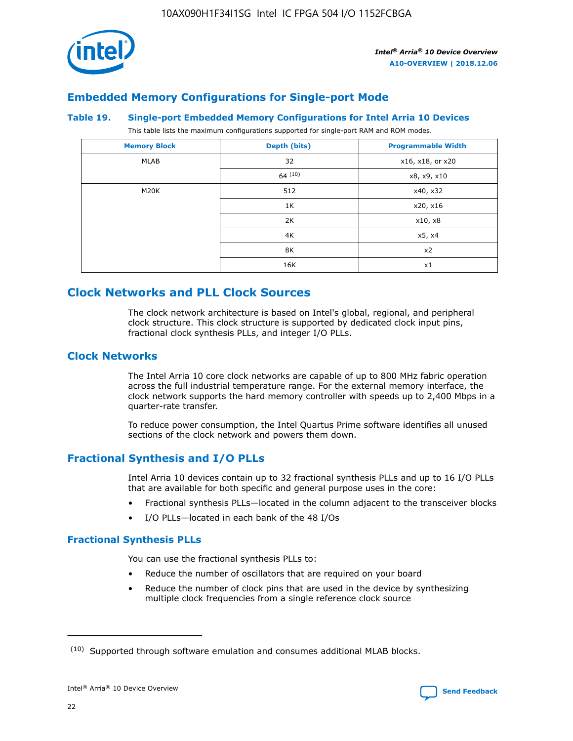

# **Embedded Memory Configurations for Single-port Mode**

### **Table 19. Single-port Embedded Memory Configurations for Intel Arria 10 Devices**

This table lists the maximum configurations supported for single-port RAM and ROM modes.

| <b>Memory Block</b> | Depth (bits) | <b>Programmable Width</b> |
|---------------------|--------------|---------------------------|
| MLAB                | 32           | x16, x18, or x20          |
|                     | 64(10)       | x8, x9, x10               |
| M20K                | 512          | x40, x32                  |
|                     | 1K           | x20, x16                  |
|                     | 2K           | x10, x8                   |
|                     | 4K           | x5, x4                    |
|                     | 8K           | x2                        |
|                     | 16K          | x1                        |

# **Clock Networks and PLL Clock Sources**

The clock network architecture is based on Intel's global, regional, and peripheral clock structure. This clock structure is supported by dedicated clock input pins, fractional clock synthesis PLLs, and integer I/O PLLs.

# **Clock Networks**

The Intel Arria 10 core clock networks are capable of up to 800 MHz fabric operation across the full industrial temperature range. For the external memory interface, the clock network supports the hard memory controller with speeds up to 2,400 Mbps in a quarter-rate transfer.

To reduce power consumption, the Intel Quartus Prime software identifies all unused sections of the clock network and powers them down.

# **Fractional Synthesis and I/O PLLs**

Intel Arria 10 devices contain up to 32 fractional synthesis PLLs and up to 16 I/O PLLs that are available for both specific and general purpose uses in the core:

- Fractional synthesis PLLs—located in the column adjacent to the transceiver blocks
- I/O PLLs—located in each bank of the 48 I/Os

# **Fractional Synthesis PLLs**

You can use the fractional synthesis PLLs to:

- Reduce the number of oscillators that are required on your board
- Reduce the number of clock pins that are used in the device by synthesizing multiple clock frequencies from a single reference clock source

<sup>(10)</sup> Supported through software emulation and consumes additional MLAB blocks.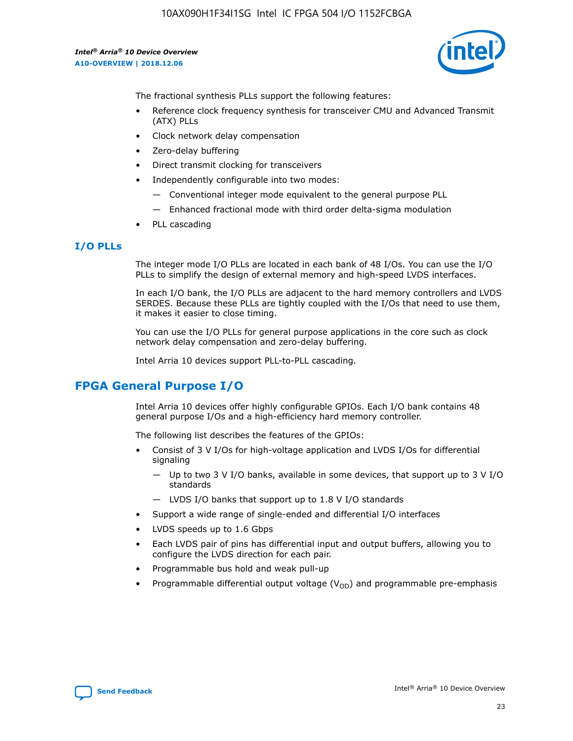

The fractional synthesis PLLs support the following features:

- Reference clock frequency synthesis for transceiver CMU and Advanced Transmit (ATX) PLLs
- Clock network delay compensation
- Zero-delay buffering
- Direct transmit clocking for transceivers
- Independently configurable into two modes:
	- Conventional integer mode equivalent to the general purpose PLL
	- Enhanced fractional mode with third order delta-sigma modulation
- PLL cascading

### **I/O PLLs**

The integer mode I/O PLLs are located in each bank of 48 I/Os. You can use the I/O PLLs to simplify the design of external memory and high-speed LVDS interfaces.

In each I/O bank, the I/O PLLs are adjacent to the hard memory controllers and LVDS SERDES. Because these PLLs are tightly coupled with the I/Os that need to use them, it makes it easier to close timing.

You can use the I/O PLLs for general purpose applications in the core such as clock network delay compensation and zero-delay buffering.

Intel Arria 10 devices support PLL-to-PLL cascading.

# **FPGA General Purpose I/O**

Intel Arria 10 devices offer highly configurable GPIOs. Each I/O bank contains 48 general purpose I/Os and a high-efficiency hard memory controller.

The following list describes the features of the GPIOs:

- Consist of 3 V I/Os for high-voltage application and LVDS I/Os for differential signaling
	- Up to two 3 V I/O banks, available in some devices, that support up to 3 V I/O standards
	- LVDS I/O banks that support up to 1.8 V I/O standards
- Support a wide range of single-ended and differential I/O interfaces
- LVDS speeds up to 1.6 Gbps
- Each LVDS pair of pins has differential input and output buffers, allowing you to configure the LVDS direction for each pair.
- Programmable bus hold and weak pull-up
- Programmable differential output voltage  $(V_{OD})$  and programmable pre-emphasis

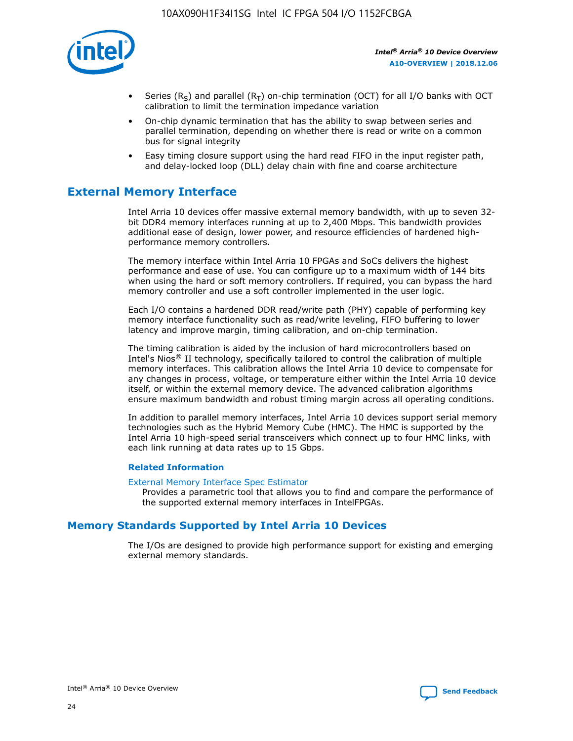

- Series (R<sub>S</sub>) and parallel (R<sub>T</sub>) on-chip termination (OCT) for all I/O banks with OCT calibration to limit the termination impedance variation
- On-chip dynamic termination that has the ability to swap between series and parallel termination, depending on whether there is read or write on a common bus for signal integrity
- Easy timing closure support using the hard read FIFO in the input register path, and delay-locked loop (DLL) delay chain with fine and coarse architecture

# **External Memory Interface**

Intel Arria 10 devices offer massive external memory bandwidth, with up to seven 32 bit DDR4 memory interfaces running at up to 2,400 Mbps. This bandwidth provides additional ease of design, lower power, and resource efficiencies of hardened highperformance memory controllers.

The memory interface within Intel Arria 10 FPGAs and SoCs delivers the highest performance and ease of use. You can configure up to a maximum width of 144 bits when using the hard or soft memory controllers. If required, you can bypass the hard memory controller and use a soft controller implemented in the user logic.

Each I/O contains a hardened DDR read/write path (PHY) capable of performing key memory interface functionality such as read/write leveling, FIFO buffering to lower latency and improve margin, timing calibration, and on-chip termination.

The timing calibration is aided by the inclusion of hard microcontrollers based on Intel's Nios® II technology, specifically tailored to control the calibration of multiple memory interfaces. This calibration allows the Intel Arria 10 device to compensate for any changes in process, voltage, or temperature either within the Intel Arria 10 device itself, or within the external memory device. The advanced calibration algorithms ensure maximum bandwidth and robust timing margin across all operating conditions.

In addition to parallel memory interfaces, Intel Arria 10 devices support serial memory technologies such as the Hybrid Memory Cube (HMC). The HMC is supported by the Intel Arria 10 high-speed serial transceivers which connect up to four HMC links, with each link running at data rates up to 15 Gbps.

### **Related Information**

#### [External Memory Interface Spec Estimator](http://www.altera.com/technology/memory/estimator/mem-emif-index.html)

Provides a parametric tool that allows you to find and compare the performance of the supported external memory interfaces in IntelFPGAs.

# **Memory Standards Supported by Intel Arria 10 Devices**

The I/Os are designed to provide high performance support for existing and emerging external memory standards.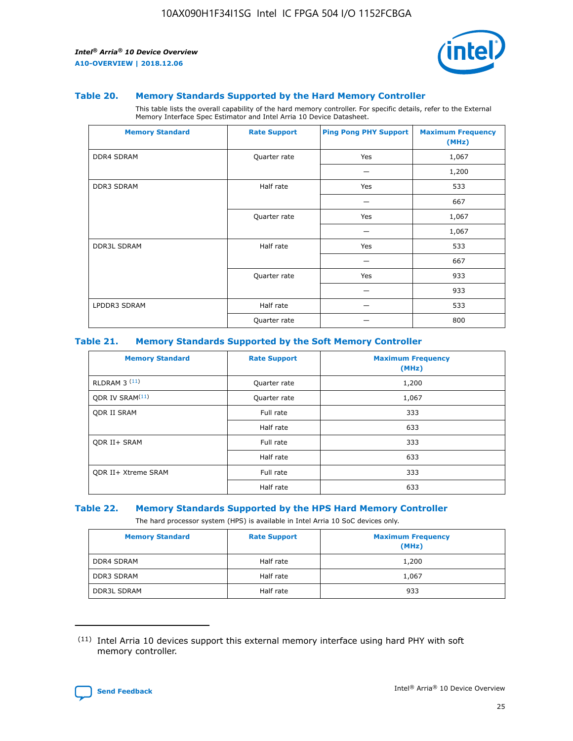

### **Table 20. Memory Standards Supported by the Hard Memory Controller**

This table lists the overall capability of the hard memory controller. For specific details, refer to the External Memory Interface Spec Estimator and Intel Arria 10 Device Datasheet.

| <b>Memory Standard</b> | <b>Rate Support</b> | <b>Ping Pong PHY Support</b> | <b>Maximum Frequency</b><br>(MHz) |
|------------------------|---------------------|------------------------------|-----------------------------------|
| <b>DDR4 SDRAM</b>      | Quarter rate        | Yes                          | 1,067                             |
|                        |                     |                              | 1,200                             |
| DDR3 SDRAM             | Half rate           | Yes                          | 533                               |
|                        |                     |                              | 667                               |
|                        | Quarter rate        | Yes                          | 1,067                             |
|                        |                     |                              | 1,067                             |
| <b>DDR3L SDRAM</b>     | Half rate           | Yes                          | 533                               |
|                        |                     |                              | 667                               |
|                        | Quarter rate        | Yes                          | 933                               |
|                        |                     |                              | 933                               |
| LPDDR3 SDRAM           | Half rate           |                              | 533                               |
|                        | Quarter rate        |                              | 800                               |

### **Table 21. Memory Standards Supported by the Soft Memory Controller**

| <b>Memory Standard</b>      | <b>Rate Support</b> | <b>Maximum Frequency</b><br>(MHz) |
|-----------------------------|---------------------|-----------------------------------|
| <b>RLDRAM 3 (11)</b>        | Quarter rate        | 1,200                             |
| ODR IV SRAM <sup>(11)</sup> | Quarter rate        | 1,067                             |
| <b>ODR II SRAM</b>          | Full rate           | 333                               |
|                             | Half rate           | 633                               |
| <b>ODR II+ SRAM</b>         | Full rate           | 333                               |
|                             | Half rate           | 633                               |
| <b>ODR II+ Xtreme SRAM</b>  | Full rate           | 333                               |
|                             | Half rate           | 633                               |

#### **Table 22. Memory Standards Supported by the HPS Hard Memory Controller**

The hard processor system (HPS) is available in Intel Arria 10 SoC devices only.

| <b>Memory Standard</b> | <b>Rate Support</b> | <b>Maximum Frequency</b><br>(MHz) |
|------------------------|---------------------|-----------------------------------|
| <b>DDR4 SDRAM</b>      | Half rate           | 1,200                             |
| <b>DDR3 SDRAM</b>      | Half rate           | 1,067                             |
| <b>DDR3L SDRAM</b>     | Half rate           | 933                               |

<sup>(11)</sup> Intel Arria 10 devices support this external memory interface using hard PHY with soft memory controller.

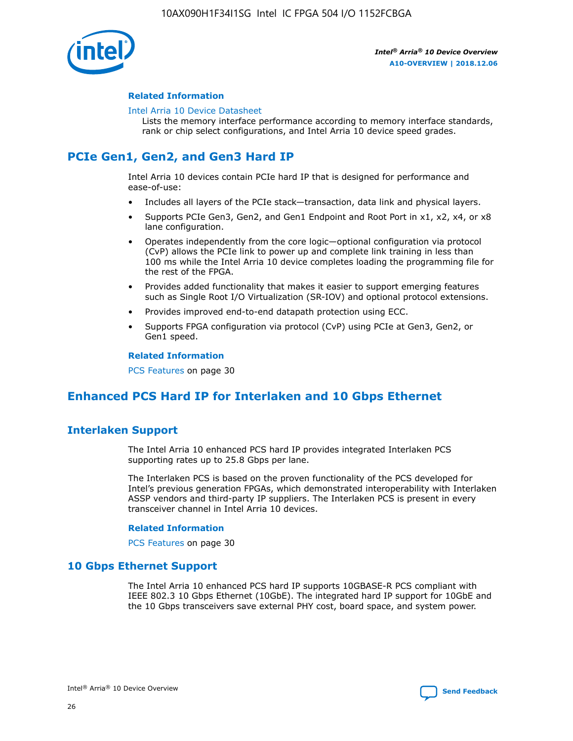

### **Related Information**

#### [Intel Arria 10 Device Datasheet](https://www.intel.com/content/www/us/en/programmable/documentation/mcn1413182292568.html#mcn1413182153340)

Lists the memory interface performance according to memory interface standards, rank or chip select configurations, and Intel Arria 10 device speed grades.

# **PCIe Gen1, Gen2, and Gen3 Hard IP**

Intel Arria 10 devices contain PCIe hard IP that is designed for performance and ease-of-use:

- Includes all layers of the PCIe stack—transaction, data link and physical layers.
- Supports PCIe Gen3, Gen2, and Gen1 Endpoint and Root Port in x1, x2, x4, or x8 lane configuration.
- Operates independently from the core logic—optional configuration via protocol (CvP) allows the PCIe link to power up and complete link training in less than 100 ms while the Intel Arria 10 device completes loading the programming file for the rest of the FPGA.
- Provides added functionality that makes it easier to support emerging features such as Single Root I/O Virtualization (SR-IOV) and optional protocol extensions.
- Provides improved end-to-end datapath protection using ECC.
- Supports FPGA configuration via protocol (CvP) using PCIe at Gen3, Gen2, or Gen1 speed.

#### **Related Information**

PCS Features on page 30

# **Enhanced PCS Hard IP for Interlaken and 10 Gbps Ethernet**

# **Interlaken Support**

The Intel Arria 10 enhanced PCS hard IP provides integrated Interlaken PCS supporting rates up to 25.8 Gbps per lane.

The Interlaken PCS is based on the proven functionality of the PCS developed for Intel's previous generation FPGAs, which demonstrated interoperability with Interlaken ASSP vendors and third-party IP suppliers. The Interlaken PCS is present in every transceiver channel in Intel Arria 10 devices.

### **Related Information**

PCS Features on page 30

# **10 Gbps Ethernet Support**

The Intel Arria 10 enhanced PCS hard IP supports 10GBASE-R PCS compliant with IEEE 802.3 10 Gbps Ethernet (10GbE). The integrated hard IP support for 10GbE and the 10 Gbps transceivers save external PHY cost, board space, and system power.

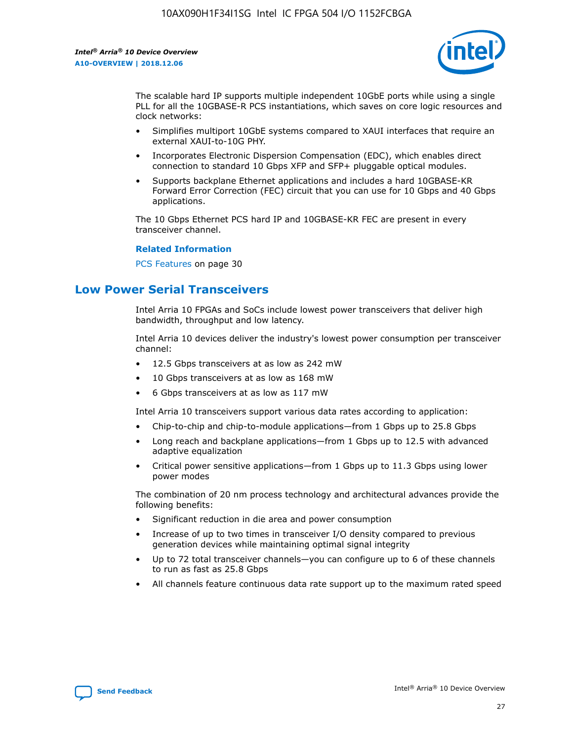

The scalable hard IP supports multiple independent 10GbE ports while using a single PLL for all the 10GBASE-R PCS instantiations, which saves on core logic resources and clock networks:

- Simplifies multiport 10GbE systems compared to XAUI interfaces that require an external XAUI-to-10G PHY.
- Incorporates Electronic Dispersion Compensation (EDC), which enables direct connection to standard 10 Gbps XFP and SFP+ pluggable optical modules.
- Supports backplane Ethernet applications and includes a hard 10GBASE-KR Forward Error Correction (FEC) circuit that you can use for 10 Gbps and 40 Gbps applications.

The 10 Gbps Ethernet PCS hard IP and 10GBASE-KR FEC are present in every transceiver channel.

### **Related Information**

PCS Features on page 30

# **Low Power Serial Transceivers**

Intel Arria 10 FPGAs and SoCs include lowest power transceivers that deliver high bandwidth, throughput and low latency.

Intel Arria 10 devices deliver the industry's lowest power consumption per transceiver channel:

- 12.5 Gbps transceivers at as low as 242 mW
- 10 Gbps transceivers at as low as 168 mW
- 6 Gbps transceivers at as low as 117 mW

Intel Arria 10 transceivers support various data rates according to application:

- Chip-to-chip and chip-to-module applications—from 1 Gbps up to 25.8 Gbps
- Long reach and backplane applications—from 1 Gbps up to 12.5 with advanced adaptive equalization
- Critical power sensitive applications—from 1 Gbps up to 11.3 Gbps using lower power modes

The combination of 20 nm process technology and architectural advances provide the following benefits:

- Significant reduction in die area and power consumption
- Increase of up to two times in transceiver I/O density compared to previous generation devices while maintaining optimal signal integrity
- Up to 72 total transceiver channels—you can configure up to 6 of these channels to run as fast as 25.8 Gbps
- All channels feature continuous data rate support up to the maximum rated speed

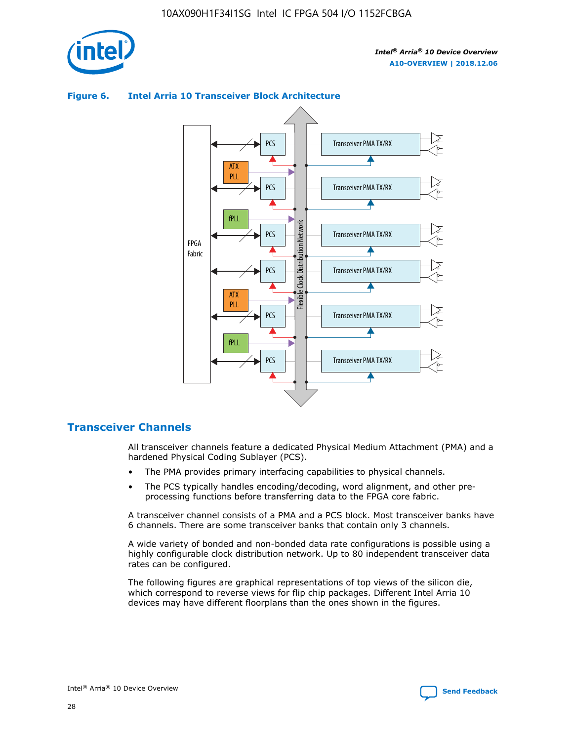



### **Figure 6. Intel Arria 10 Transceiver Block Architecture**

# **Transceiver Channels**

All transceiver channels feature a dedicated Physical Medium Attachment (PMA) and a hardened Physical Coding Sublayer (PCS).

- The PMA provides primary interfacing capabilities to physical channels.
- The PCS typically handles encoding/decoding, word alignment, and other preprocessing functions before transferring data to the FPGA core fabric.

A transceiver channel consists of a PMA and a PCS block. Most transceiver banks have 6 channels. There are some transceiver banks that contain only 3 channels.

A wide variety of bonded and non-bonded data rate configurations is possible using a highly configurable clock distribution network. Up to 80 independent transceiver data rates can be configured.

The following figures are graphical representations of top views of the silicon die, which correspond to reverse views for flip chip packages. Different Intel Arria 10 devices may have different floorplans than the ones shown in the figures.

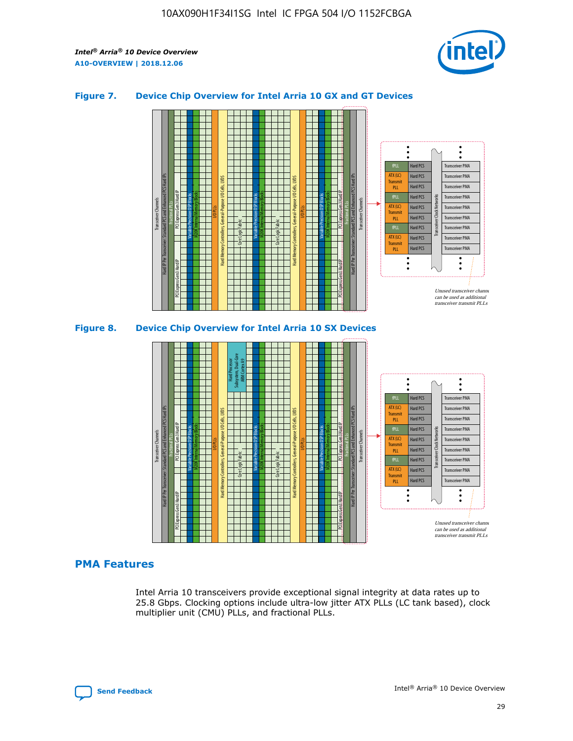

### **Figure 7. Device Chip Overview for Intel Arria 10 GX and GT Devices**



M20K Internal Memory Blocks Core Logic Fabric Transceiver Channels Hard IP Per Transceiver: Standard PCS and Enhanced PCS Hard IPs PCI Express Gen3 Hard IP Fractional PLLs M20K Internal Memory Blocks PCI Express Gen3 Hard IP Variable Precision DSP Blocks I/O PLLs Hard Memory Controllers, General-Purpose I/O Cells, LVDS Hard Processor Subsystem, Dual-Core ARM Cortex A9 M20K Internal Memory Blocks Variable Precision DSP Blocks M20K Internal Memory Blocks Core Logic Fabric I/O PLLs Hard Memory Controllers, General-Purpose I/O Cells, LVDS M20K Internal Memory Blocks Variable Precision DSP Blocks M20K Internal Memory Blocks Transceiver Channels Hard IP Per Transceiver: Standard PCS and Enhanced PCS Hard IPs PCI Express Gen3 Hard IP Fractional PLLs PCI Express Gen3 Hard IP Hard PCS Hard PCS Hard PCS Transceiver PMA fPLL ATX (LC) **Transmit** 

### **PMA Features**

Intel Arria 10 transceivers provide exceptional signal integrity at data rates up to 25.8 Gbps. Clocking options include ultra-low jitter ATX PLLs (LC tank based), clock multiplier unit (CMU) PLLs, and fractional PLLs.



Hard PCS Hard PCS Hard PCS Hard PCS Hard PCS Hard PCS

PLL fPLL ATX (LC) Transmi PLL fPLL ATX (LC) **Transmit** PLL

Transceiver PMA Transceiver PMA Transceiver PMA Transceiver PMA Transceiver PMA Transceiver PMA

 $\ddot{\cdot}$ 

Transceiver PMA Transceiver PMA

Transceiver Clock Networks

Unused transceiver chann can be used as additional transceiver transmit PLLs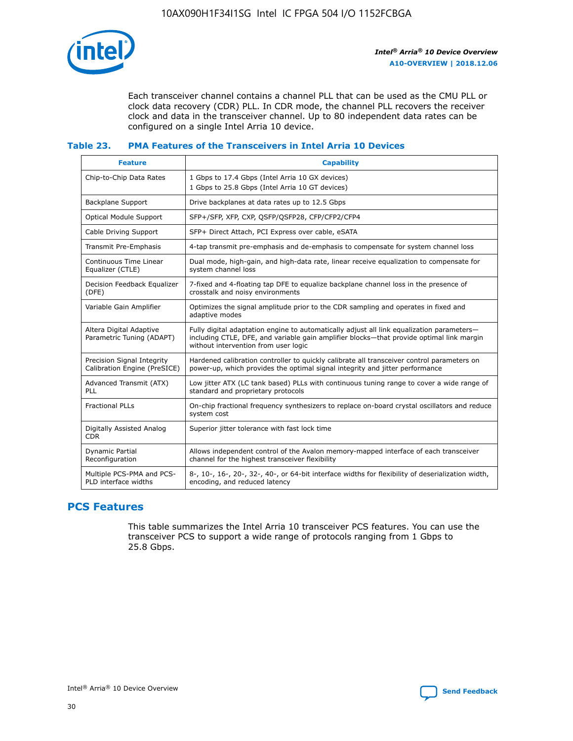

Each transceiver channel contains a channel PLL that can be used as the CMU PLL or clock data recovery (CDR) PLL. In CDR mode, the channel PLL recovers the receiver clock and data in the transceiver channel. Up to 80 independent data rates can be configured on a single Intel Arria 10 device.

### **Table 23. PMA Features of the Transceivers in Intel Arria 10 Devices**

| <b>Feature</b>                                             | <b>Capability</b>                                                                                                                                                                                                             |
|------------------------------------------------------------|-------------------------------------------------------------------------------------------------------------------------------------------------------------------------------------------------------------------------------|
| Chip-to-Chip Data Rates                                    | 1 Gbps to 17.4 Gbps (Intel Arria 10 GX devices)<br>1 Gbps to 25.8 Gbps (Intel Arria 10 GT devices)                                                                                                                            |
| <b>Backplane Support</b>                                   | Drive backplanes at data rates up to 12.5 Gbps                                                                                                                                                                                |
| <b>Optical Module Support</b>                              | SFP+/SFP, XFP, CXP, QSFP/QSFP28, CFP/CFP2/CFP4                                                                                                                                                                                |
| Cable Driving Support                                      | SFP+ Direct Attach, PCI Express over cable, eSATA                                                                                                                                                                             |
| Transmit Pre-Emphasis                                      | 4-tap transmit pre-emphasis and de-emphasis to compensate for system channel loss                                                                                                                                             |
| Continuous Time Linear<br>Equalizer (CTLE)                 | Dual mode, high-gain, and high-data rate, linear receive equalization to compensate for<br>system channel loss                                                                                                                |
| Decision Feedback Equalizer<br>(DFE)                       | 7-fixed and 4-floating tap DFE to equalize backplane channel loss in the presence of<br>crosstalk and noisy environments                                                                                                      |
| Variable Gain Amplifier                                    | Optimizes the signal amplitude prior to the CDR sampling and operates in fixed and<br>adaptive modes                                                                                                                          |
| Altera Digital Adaptive<br>Parametric Tuning (ADAPT)       | Fully digital adaptation engine to automatically adjust all link equalization parameters-<br>including CTLE, DFE, and variable gain amplifier blocks—that provide optimal link margin<br>without intervention from user logic |
| Precision Signal Integrity<br>Calibration Engine (PreSICE) | Hardened calibration controller to quickly calibrate all transceiver control parameters on<br>power-up, which provides the optimal signal integrity and jitter performance                                                    |
| Advanced Transmit (ATX)<br>PLL                             | Low jitter ATX (LC tank based) PLLs with continuous tuning range to cover a wide range of<br>standard and proprietary protocols                                                                                               |
| <b>Fractional PLLs</b>                                     | On-chip fractional frequency synthesizers to replace on-board crystal oscillators and reduce<br>system cost                                                                                                                   |
| Digitally Assisted Analog<br><b>CDR</b>                    | Superior jitter tolerance with fast lock time                                                                                                                                                                                 |
| Dynamic Partial<br>Reconfiguration                         | Allows independent control of the Avalon memory-mapped interface of each transceiver<br>channel for the highest transceiver flexibility                                                                                       |
| Multiple PCS-PMA and PCS-<br>PLD interface widths          | 8-, 10-, 16-, 20-, 32-, 40-, or 64-bit interface widths for flexibility of deserialization width,<br>encoding, and reduced latency                                                                                            |

# **PCS Features**

This table summarizes the Intel Arria 10 transceiver PCS features. You can use the transceiver PCS to support a wide range of protocols ranging from 1 Gbps to 25.8 Gbps.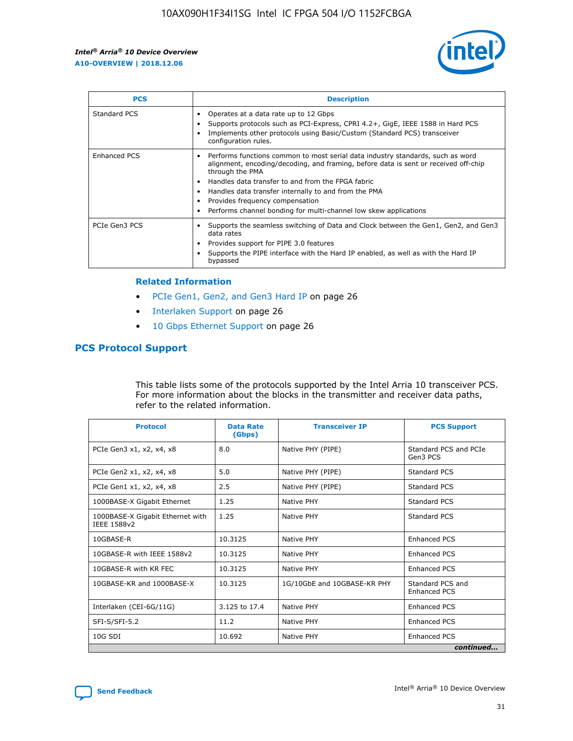

| <b>PCS</b>    | <b>Description</b>                                                                                                                                                                                                                                                                                                                                                                                             |
|---------------|----------------------------------------------------------------------------------------------------------------------------------------------------------------------------------------------------------------------------------------------------------------------------------------------------------------------------------------------------------------------------------------------------------------|
| Standard PCS  | Operates at a data rate up to 12 Gbps<br>Supports protocols such as PCI-Express, CPRI 4.2+, GigE, IEEE 1588 in Hard PCS<br>Implements other protocols using Basic/Custom (Standard PCS) transceiver<br>configuration rules.                                                                                                                                                                                    |
| Enhanced PCS  | Performs functions common to most serial data industry standards, such as word<br>alignment, encoding/decoding, and framing, before data is sent or received off-chip<br>through the PMA<br>• Handles data transfer to and from the FPGA fabric<br>Handles data transfer internally to and from the PMA<br>Provides frequency compensation<br>Performs channel bonding for multi-channel low skew applications |
| PCIe Gen3 PCS | Supports the seamless switching of Data and Clock between the Gen1, Gen2, and Gen3<br>data rates<br>Provides support for PIPE 3.0 features<br>Supports the PIPE interface with the Hard IP enabled, as well as with the Hard IP<br>bypassed                                                                                                                                                                    |

### **Related Information**

- PCIe Gen1, Gen2, and Gen3 Hard IP on page 26
- Interlaken Support on page 26
- 10 Gbps Ethernet Support on page 26

# **PCS Protocol Support**

This table lists some of the protocols supported by the Intel Arria 10 transceiver PCS. For more information about the blocks in the transmitter and receiver data paths, refer to the related information.

| <b>Protocol</b>                                 | <b>Data Rate</b><br>(Gbps) | <b>Transceiver IP</b>       | <b>PCS Support</b>                      |
|-------------------------------------------------|----------------------------|-----------------------------|-----------------------------------------|
| PCIe Gen3 x1, x2, x4, x8                        | 8.0                        | Native PHY (PIPE)           | Standard PCS and PCIe<br>Gen3 PCS       |
| PCIe Gen2 x1, x2, x4, x8                        | 5.0                        | Native PHY (PIPE)           | <b>Standard PCS</b>                     |
| PCIe Gen1 x1, x2, x4, x8                        | 2.5                        | Native PHY (PIPE)           | Standard PCS                            |
| 1000BASE-X Gigabit Ethernet                     | 1.25                       | Native PHY                  | <b>Standard PCS</b>                     |
| 1000BASE-X Gigabit Ethernet with<br>IEEE 1588v2 | 1.25                       | Native PHY                  | Standard PCS                            |
| 10GBASE-R                                       | 10.3125                    | Native PHY                  | <b>Enhanced PCS</b>                     |
| 10GBASE-R with IEEE 1588v2                      | 10.3125                    | Native PHY                  | <b>Enhanced PCS</b>                     |
| 10GBASE-R with KR FEC                           | 10.3125                    | Native PHY                  | <b>Enhanced PCS</b>                     |
| 10GBASE-KR and 1000BASE-X                       | 10.3125                    | 1G/10GbE and 10GBASE-KR PHY | Standard PCS and<br><b>Enhanced PCS</b> |
| Interlaken (CEI-6G/11G)                         | 3.125 to 17.4              | Native PHY                  | <b>Enhanced PCS</b>                     |
| SFI-S/SFI-5.2                                   | 11.2                       | Native PHY                  | <b>Enhanced PCS</b>                     |
| $10G$ SDI                                       | 10.692                     | Native PHY                  | <b>Enhanced PCS</b>                     |
|                                                 |                            |                             | continued                               |

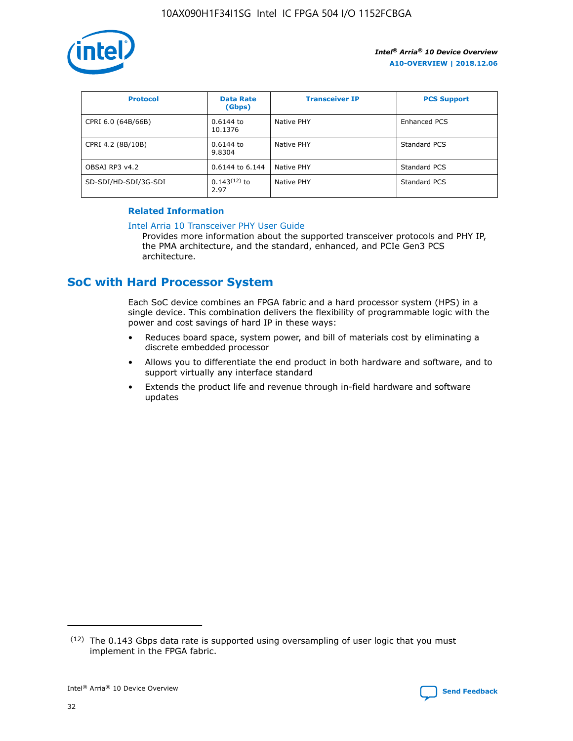

| <b>Protocol</b>      | <b>Data Rate</b><br>(Gbps) | <b>Transceiver IP</b> | <b>PCS Support</b> |
|----------------------|----------------------------|-----------------------|--------------------|
| CPRI 6.0 (64B/66B)   | 0.6144 to<br>10.1376       | Native PHY            | Enhanced PCS       |
| CPRI 4.2 (8B/10B)    | $0.6144$ to<br>9.8304      | Native PHY            | Standard PCS       |
| OBSAI RP3 v4.2       | 0.6144 to 6.144            | Native PHY            | Standard PCS       |
| SD-SDI/HD-SDI/3G-SDI | $0.143(12)$ to<br>2.97     | Native PHY            | Standard PCS       |

### **Related Information**

### [Intel Arria 10 Transceiver PHY User Guide](https://www.intel.com/content/www/us/en/programmable/documentation/nik1398707230472.html#nik1398707091164)

Provides more information about the supported transceiver protocols and PHY IP, the PMA architecture, and the standard, enhanced, and PCIe Gen3 PCS architecture.

# **SoC with Hard Processor System**

Each SoC device combines an FPGA fabric and a hard processor system (HPS) in a single device. This combination delivers the flexibility of programmable logic with the power and cost savings of hard IP in these ways:

- Reduces board space, system power, and bill of materials cost by eliminating a discrete embedded processor
- Allows you to differentiate the end product in both hardware and software, and to support virtually any interface standard
- Extends the product life and revenue through in-field hardware and software updates

 $(12)$  The 0.143 Gbps data rate is supported using oversampling of user logic that you must implement in the FPGA fabric.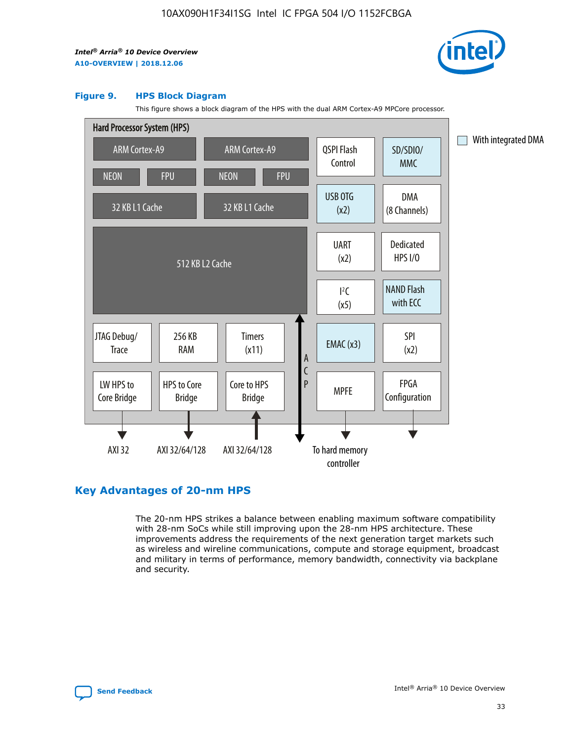

### **Figure 9. HPS Block Diagram**

This figure shows a block diagram of the HPS with the dual ARM Cortex-A9 MPCore processor.



# **Key Advantages of 20-nm HPS**

The 20-nm HPS strikes a balance between enabling maximum software compatibility with 28-nm SoCs while still improving upon the 28-nm HPS architecture. These improvements address the requirements of the next generation target markets such as wireless and wireline communications, compute and storage equipment, broadcast and military in terms of performance, memory bandwidth, connectivity via backplane and security.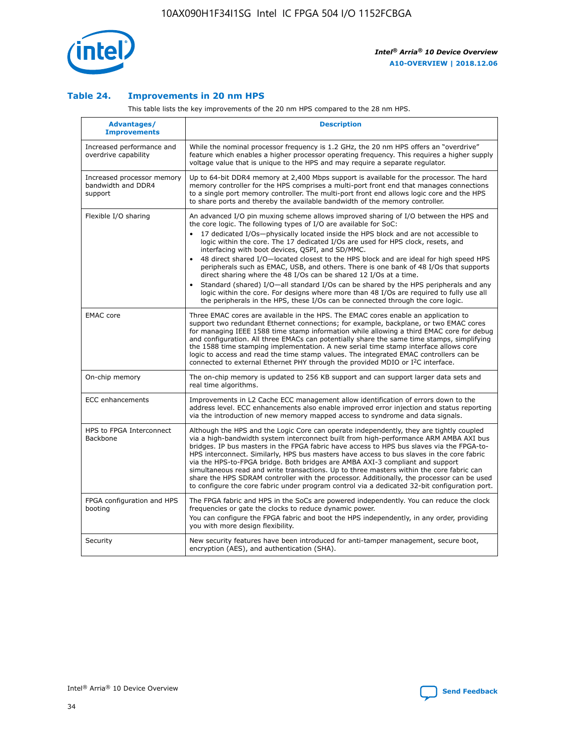

### **Table 24. Improvements in 20 nm HPS**

This table lists the key improvements of the 20 nm HPS compared to the 28 nm HPS.

| Advantages/<br><b>Improvements</b>                          | <b>Description</b>                                                                                                                                                                                                                                                                                                                                                                                                                                                                                                                                                                                                                                                                                                                                                                                                                                                                                                      |
|-------------------------------------------------------------|-------------------------------------------------------------------------------------------------------------------------------------------------------------------------------------------------------------------------------------------------------------------------------------------------------------------------------------------------------------------------------------------------------------------------------------------------------------------------------------------------------------------------------------------------------------------------------------------------------------------------------------------------------------------------------------------------------------------------------------------------------------------------------------------------------------------------------------------------------------------------------------------------------------------------|
| Increased performance and<br>overdrive capability           | While the nominal processor frequency is 1.2 GHz, the 20 nm HPS offers an "overdrive"<br>feature which enables a higher processor operating frequency. This requires a higher supply<br>voltage value that is unique to the HPS and may require a separate regulator.                                                                                                                                                                                                                                                                                                                                                                                                                                                                                                                                                                                                                                                   |
| Increased processor memory<br>bandwidth and DDR4<br>support | Up to 64-bit DDR4 memory at 2,400 Mbps support is available for the processor. The hard<br>memory controller for the HPS comprises a multi-port front end that manages connections<br>to a single port memory controller. The multi-port front end allows logic core and the HPS<br>to share ports and thereby the available bandwidth of the memory controller.                                                                                                                                                                                                                                                                                                                                                                                                                                                                                                                                                        |
| Flexible I/O sharing                                        | An advanced I/O pin muxing scheme allows improved sharing of I/O between the HPS and<br>the core logic. The following types of I/O are available for SoC:<br>17 dedicated I/Os-physically located inside the HPS block and are not accessible to<br>logic within the core. The 17 dedicated I/Os are used for HPS clock, resets, and<br>interfacing with boot devices, QSPI, and SD/MMC.<br>48 direct shared I/O-located closest to the HPS block and are ideal for high speed HPS<br>peripherals such as EMAC, USB, and others. There is one bank of 48 I/Os that supports<br>direct sharing where the 48 I/Os can be shared 12 I/Os at a time.<br>Standard (shared) I/O—all standard I/Os can be shared by the HPS peripherals and any<br>logic within the core. For designs where more than 48 I/Os are reguired to fully use all<br>the peripherals in the HPS, these I/Os can be connected through the core logic. |
| <b>EMAC</b> core                                            | Three EMAC cores are available in the HPS. The EMAC cores enable an application to<br>support two redundant Ethernet connections; for example, backplane, or two EMAC cores<br>for managing IEEE 1588 time stamp information while allowing a third EMAC core for debug<br>and configuration. All three EMACs can potentially share the same time stamps, simplifying<br>the 1588 time stamping implementation. A new serial time stamp interface allows core<br>logic to access and read the time stamp values. The integrated EMAC controllers can be<br>connected to external Ethernet PHY through the provided MDIO or I <sup>2</sup> C interface.                                                                                                                                                                                                                                                                  |
| On-chip memory                                              | The on-chip memory is updated to 256 KB support and can support larger data sets and<br>real time algorithms.                                                                                                                                                                                                                                                                                                                                                                                                                                                                                                                                                                                                                                                                                                                                                                                                           |
| <b>ECC</b> enhancements                                     | Improvements in L2 Cache ECC management allow identification of errors down to the<br>address level. ECC enhancements also enable improved error injection and status reporting<br>via the introduction of new memory mapped access to syndrome and data signals.                                                                                                                                                                                                                                                                                                                                                                                                                                                                                                                                                                                                                                                       |
| HPS to FPGA Interconnect<br>Backbone                        | Although the HPS and the Logic Core can operate independently, they are tightly coupled<br>via a high-bandwidth system interconnect built from high-performance ARM AMBA AXI bus<br>bridges. IP bus masters in the FPGA fabric have access to HPS bus slaves via the FPGA-to-<br>HPS interconnect. Similarly, HPS bus masters have access to bus slaves in the core fabric<br>via the HPS-to-FPGA bridge. Both bridges are AMBA AXI-3 compliant and support<br>simultaneous read and write transactions. Up to three masters within the core fabric can<br>share the HPS SDRAM controller with the processor. Additionally, the processor can be used<br>to configure the core fabric under program control via a dedicated 32-bit configuration port.                                                                                                                                                                  |
| FPGA configuration and HPS<br>booting                       | The FPGA fabric and HPS in the SoCs are powered independently. You can reduce the clock<br>frequencies or gate the clocks to reduce dynamic power.<br>You can configure the FPGA fabric and boot the HPS independently, in any order, providing<br>you with more design flexibility.                                                                                                                                                                                                                                                                                                                                                                                                                                                                                                                                                                                                                                    |
| Security                                                    | New security features have been introduced for anti-tamper management, secure boot,<br>encryption (AES), and authentication (SHA).                                                                                                                                                                                                                                                                                                                                                                                                                                                                                                                                                                                                                                                                                                                                                                                      |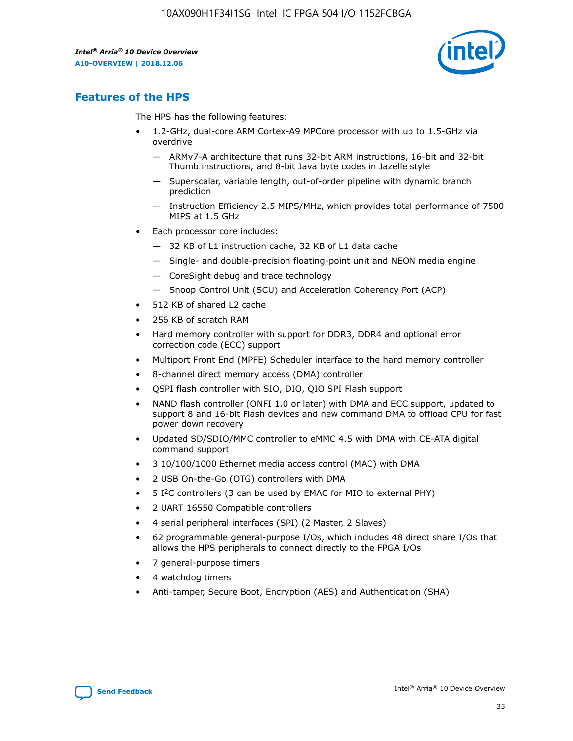

# **Features of the HPS**

The HPS has the following features:

- 1.2-GHz, dual-core ARM Cortex-A9 MPCore processor with up to 1.5-GHz via overdrive
	- ARMv7-A architecture that runs 32-bit ARM instructions, 16-bit and 32-bit Thumb instructions, and 8-bit Java byte codes in Jazelle style
	- Superscalar, variable length, out-of-order pipeline with dynamic branch prediction
	- Instruction Efficiency 2.5 MIPS/MHz, which provides total performance of 7500 MIPS at 1.5 GHz
- Each processor core includes:
	- 32 KB of L1 instruction cache, 32 KB of L1 data cache
	- Single- and double-precision floating-point unit and NEON media engine
	- CoreSight debug and trace technology
	- Snoop Control Unit (SCU) and Acceleration Coherency Port (ACP)
- 512 KB of shared L2 cache
- 256 KB of scratch RAM
- Hard memory controller with support for DDR3, DDR4 and optional error correction code (ECC) support
- Multiport Front End (MPFE) Scheduler interface to the hard memory controller
- 8-channel direct memory access (DMA) controller
- QSPI flash controller with SIO, DIO, QIO SPI Flash support
- NAND flash controller (ONFI 1.0 or later) with DMA and ECC support, updated to support 8 and 16-bit Flash devices and new command DMA to offload CPU for fast power down recovery
- Updated SD/SDIO/MMC controller to eMMC 4.5 with DMA with CE-ATA digital command support
- 3 10/100/1000 Ethernet media access control (MAC) with DMA
- 2 USB On-the-Go (OTG) controllers with DMA
- $\bullet$  5 I<sup>2</sup>C controllers (3 can be used by EMAC for MIO to external PHY)
- 2 UART 16550 Compatible controllers
- 4 serial peripheral interfaces (SPI) (2 Master, 2 Slaves)
- 62 programmable general-purpose I/Os, which includes 48 direct share I/Os that allows the HPS peripherals to connect directly to the FPGA I/Os
- 7 general-purpose timers
- 4 watchdog timers
- Anti-tamper, Secure Boot, Encryption (AES) and Authentication (SHA)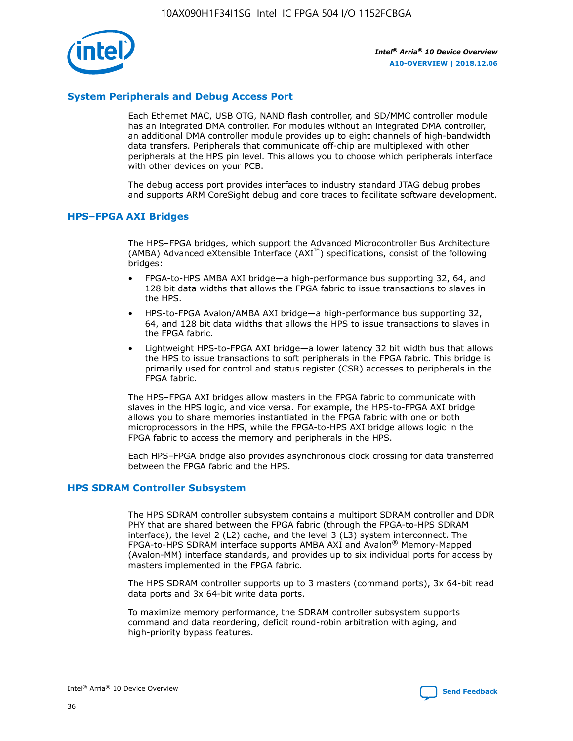

# **System Peripherals and Debug Access Port**

Each Ethernet MAC, USB OTG, NAND flash controller, and SD/MMC controller module has an integrated DMA controller. For modules without an integrated DMA controller, an additional DMA controller module provides up to eight channels of high-bandwidth data transfers. Peripherals that communicate off-chip are multiplexed with other peripherals at the HPS pin level. This allows you to choose which peripherals interface with other devices on your PCB.

The debug access port provides interfaces to industry standard JTAG debug probes and supports ARM CoreSight debug and core traces to facilitate software development.

### **HPS–FPGA AXI Bridges**

The HPS–FPGA bridges, which support the Advanced Microcontroller Bus Architecture (AMBA) Advanced eXtensible Interface (AXI™) specifications, consist of the following bridges:

- FPGA-to-HPS AMBA AXI bridge—a high-performance bus supporting 32, 64, and 128 bit data widths that allows the FPGA fabric to issue transactions to slaves in the HPS.
- HPS-to-FPGA Avalon/AMBA AXI bridge—a high-performance bus supporting 32, 64, and 128 bit data widths that allows the HPS to issue transactions to slaves in the FPGA fabric.
- Lightweight HPS-to-FPGA AXI bridge—a lower latency 32 bit width bus that allows the HPS to issue transactions to soft peripherals in the FPGA fabric. This bridge is primarily used for control and status register (CSR) accesses to peripherals in the FPGA fabric.

The HPS–FPGA AXI bridges allow masters in the FPGA fabric to communicate with slaves in the HPS logic, and vice versa. For example, the HPS-to-FPGA AXI bridge allows you to share memories instantiated in the FPGA fabric with one or both microprocessors in the HPS, while the FPGA-to-HPS AXI bridge allows logic in the FPGA fabric to access the memory and peripherals in the HPS.

Each HPS–FPGA bridge also provides asynchronous clock crossing for data transferred between the FPGA fabric and the HPS.

### **HPS SDRAM Controller Subsystem**

The HPS SDRAM controller subsystem contains a multiport SDRAM controller and DDR PHY that are shared between the FPGA fabric (through the FPGA-to-HPS SDRAM interface), the level 2 (L2) cache, and the level 3 (L3) system interconnect. The FPGA-to-HPS SDRAM interface supports AMBA AXI and Avalon® Memory-Mapped (Avalon-MM) interface standards, and provides up to six individual ports for access by masters implemented in the FPGA fabric.

The HPS SDRAM controller supports up to 3 masters (command ports), 3x 64-bit read data ports and 3x 64-bit write data ports.

To maximize memory performance, the SDRAM controller subsystem supports command and data reordering, deficit round-robin arbitration with aging, and high-priority bypass features.

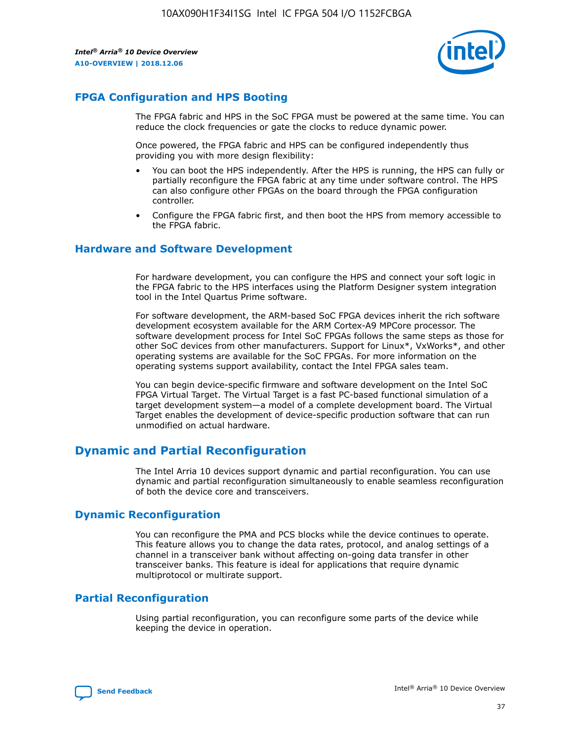

# **FPGA Configuration and HPS Booting**

The FPGA fabric and HPS in the SoC FPGA must be powered at the same time. You can reduce the clock frequencies or gate the clocks to reduce dynamic power.

Once powered, the FPGA fabric and HPS can be configured independently thus providing you with more design flexibility:

- You can boot the HPS independently. After the HPS is running, the HPS can fully or partially reconfigure the FPGA fabric at any time under software control. The HPS can also configure other FPGAs on the board through the FPGA configuration controller.
- Configure the FPGA fabric first, and then boot the HPS from memory accessible to the FPGA fabric.

### **Hardware and Software Development**

For hardware development, you can configure the HPS and connect your soft logic in the FPGA fabric to the HPS interfaces using the Platform Designer system integration tool in the Intel Quartus Prime software.

For software development, the ARM-based SoC FPGA devices inherit the rich software development ecosystem available for the ARM Cortex-A9 MPCore processor. The software development process for Intel SoC FPGAs follows the same steps as those for other SoC devices from other manufacturers. Support for Linux\*, VxWorks\*, and other operating systems are available for the SoC FPGAs. For more information on the operating systems support availability, contact the Intel FPGA sales team.

You can begin device-specific firmware and software development on the Intel SoC FPGA Virtual Target. The Virtual Target is a fast PC-based functional simulation of a target development system—a model of a complete development board. The Virtual Target enables the development of device-specific production software that can run unmodified on actual hardware.

# **Dynamic and Partial Reconfiguration**

The Intel Arria 10 devices support dynamic and partial reconfiguration. You can use dynamic and partial reconfiguration simultaneously to enable seamless reconfiguration of both the device core and transceivers.

# **Dynamic Reconfiguration**

You can reconfigure the PMA and PCS blocks while the device continues to operate. This feature allows you to change the data rates, protocol, and analog settings of a channel in a transceiver bank without affecting on-going data transfer in other transceiver banks. This feature is ideal for applications that require dynamic multiprotocol or multirate support.

# **Partial Reconfiguration**

Using partial reconfiguration, you can reconfigure some parts of the device while keeping the device in operation.

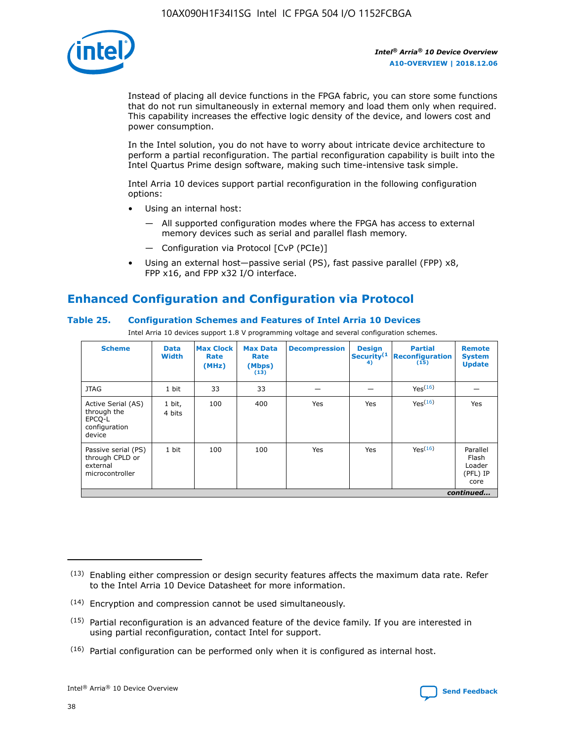

Instead of placing all device functions in the FPGA fabric, you can store some functions that do not run simultaneously in external memory and load them only when required. This capability increases the effective logic density of the device, and lowers cost and power consumption.

In the Intel solution, you do not have to worry about intricate device architecture to perform a partial reconfiguration. The partial reconfiguration capability is built into the Intel Quartus Prime design software, making such time-intensive task simple.

Intel Arria 10 devices support partial reconfiguration in the following configuration options:

- Using an internal host:
	- All supported configuration modes where the FPGA has access to external memory devices such as serial and parallel flash memory.
	- Configuration via Protocol [CvP (PCIe)]
- Using an external host—passive serial (PS), fast passive parallel (FPP) x8, FPP x16, and FPP x32 I/O interface.

# **Enhanced Configuration and Configuration via Protocol**

# **Table 25. Configuration Schemes and Features of Intel Arria 10 Devices**

Intel Arria 10 devices support 1.8 V programming voltage and several configuration schemes.

| <b>Scheme</b>                                                          | <b>Data</b><br><b>Width</b> | <b>Max Clock</b><br>Rate<br>(MHz) | <b>Max Data</b><br>Rate<br>(Mbps)<br>(13) | <b>Decompression</b> | <b>Design</b><br>Security <sup>(1</sup><br>4) | <b>Partial</b><br><b>Reconfiguration</b><br>(15) | <b>Remote</b><br><b>System</b><br><b>Update</b> |
|------------------------------------------------------------------------|-----------------------------|-----------------------------------|-------------------------------------------|----------------------|-----------------------------------------------|--------------------------------------------------|-------------------------------------------------|
| <b>JTAG</b>                                                            | 1 bit                       | 33                                | 33                                        |                      |                                               | Yes(16)                                          |                                                 |
| Active Serial (AS)<br>through the<br>EPCO-L<br>configuration<br>device | 1 bit,<br>4 bits            | 100                               | 400                                       | Yes                  | Yes                                           | $Y_{PS}(16)$                                     | Yes                                             |
| Passive serial (PS)<br>through CPLD or<br>external<br>microcontroller  | 1 bit                       | 100                               | 100                                       | Yes                  | Yes                                           | Yes(16)                                          | Parallel<br>Flash<br>Loader<br>(PFL) IP<br>core |
|                                                                        |                             |                                   |                                           |                      |                                               |                                                  | continued                                       |

<sup>(13)</sup> Enabling either compression or design security features affects the maximum data rate. Refer to the Intel Arria 10 Device Datasheet for more information.

<sup>(14)</sup> Encryption and compression cannot be used simultaneously.

 $<sup>(15)</sup>$  Partial reconfiguration is an advanced feature of the device family. If you are interested in</sup> using partial reconfiguration, contact Intel for support.

 $(16)$  Partial configuration can be performed only when it is configured as internal host.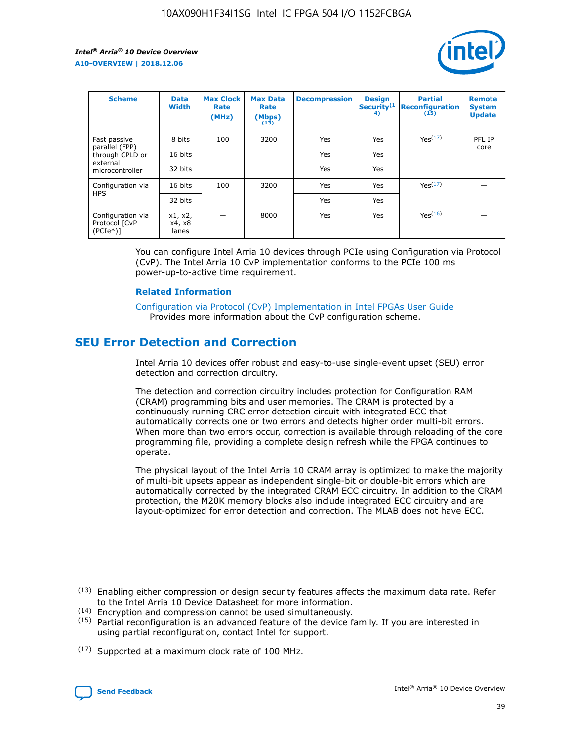

| <b>Scheme</b>                                    | <b>Data</b><br><b>Width</b> | <b>Max Clock</b><br>Rate<br>(MHz) | <b>Max Data</b><br>Rate<br>(Mbps)<br>(13) | <b>Decompression</b> | <b>Design</b><br>Security <sup>(1</sup><br>4) | <b>Partial</b><br><b>Reconfiguration</b><br>(15) | <b>Remote</b><br><b>System</b><br><b>Update</b> |
|--------------------------------------------------|-----------------------------|-----------------------------------|-------------------------------------------|----------------------|-----------------------------------------------|--------------------------------------------------|-------------------------------------------------|
| Fast passive                                     | 8 bits                      | 100                               | 3200                                      | <b>Yes</b>           | Yes                                           | Yes(17)                                          | PFL IP                                          |
| parallel (FPP)<br>through CPLD or                | 16 bits                     |                                   |                                           | Yes                  | Yes                                           |                                                  | core                                            |
| external<br>microcontroller                      | 32 bits                     |                                   |                                           | Yes                  | Yes                                           |                                                  |                                                 |
| Configuration via                                | 16 bits                     | 100                               | 3200                                      | Yes                  | Yes                                           | Yes <sup>(17)</sup>                              |                                                 |
| <b>HPS</b>                                       | 32 bits                     |                                   |                                           | Yes                  | Yes                                           |                                                  |                                                 |
| Configuration via<br>Protocol [CvP<br>$(PCIe^*)$ | x1, x2,<br>x4, x8<br>lanes  |                                   | 8000                                      | Yes                  | Yes                                           | Yes <sup>(16)</sup>                              |                                                 |

You can configure Intel Arria 10 devices through PCIe using Configuration via Protocol (CvP). The Intel Arria 10 CvP implementation conforms to the PCIe 100 ms power-up-to-active time requirement.

### **Related Information**

[Configuration via Protocol \(CvP\) Implementation in Intel FPGAs User Guide](https://www.intel.com/content/www/us/en/programmable/documentation/dsu1441819344145.html#dsu1442269728522) Provides more information about the CvP configuration scheme.

# **SEU Error Detection and Correction**

Intel Arria 10 devices offer robust and easy-to-use single-event upset (SEU) error detection and correction circuitry.

The detection and correction circuitry includes protection for Configuration RAM (CRAM) programming bits and user memories. The CRAM is protected by a continuously running CRC error detection circuit with integrated ECC that automatically corrects one or two errors and detects higher order multi-bit errors. When more than two errors occur, correction is available through reloading of the core programming file, providing a complete design refresh while the FPGA continues to operate.

The physical layout of the Intel Arria 10 CRAM array is optimized to make the majority of multi-bit upsets appear as independent single-bit or double-bit errors which are automatically corrected by the integrated CRAM ECC circuitry. In addition to the CRAM protection, the M20K memory blocks also include integrated ECC circuitry and are layout-optimized for error detection and correction. The MLAB does not have ECC.

(14) Encryption and compression cannot be used simultaneously.

<sup>(17)</sup> Supported at a maximum clock rate of 100 MHz.



 $(13)$  Enabling either compression or design security features affects the maximum data rate. Refer to the Intel Arria 10 Device Datasheet for more information.

 $(15)$  Partial reconfiguration is an advanced feature of the device family. If you are interested in using partial reconfiguration, contact Intel for support.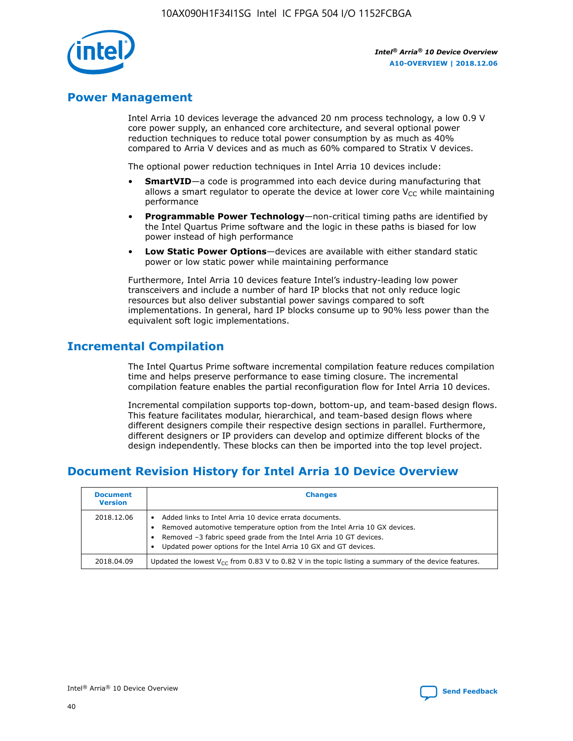

# **Power Management**

Intel Arria 10 devices leverage the advanced 20 nm process technology, a low 0.9 V core power supply, an enhanced core architecture, and several optional power reduction techniques to reduce total power consumption by as much as 40% compared to Arria V devices and as much as 60% compared to Stratix V devices.

The optional power reduction techniques in Intel Arria 10 devices include:

- **SmartVID**—a code is programmed into each device during manufacturing that allows a smart regulator to operate the device at lower core  $V_{CC}$  while maintaining performance
- **Programmable Power Technology**—non-critical timing paths are identified by the Intel Quartus Prime software and the logic in these paths is biased for low power instead of high performance
- **Low Static Power Options**—devices are available with either standard static power or low static power while maintaining performance

Furthermore, Intel Arria 10 devices feature Intel's industry-leading low power transceivers and include a number of hard IP blocks that not only reduce logic resources but also deliver substantial power savings compared to soft implementations. In general, hard IP blocks consume up to 90% less power than the equivalent soft logic implementations.

# **Incremental Compilation**

The Intel Quartus Prime software incremental compilation feature reduces compilation time and helps preserve performance to ease timing closure. The incremental compilation feature enables the partial reconfiguration flow for Intel Arria 10 devices.

Incremental compilation supports top-down, bottom-up, and team-based design flows. This feature facilitates modular, hierarchical, and team-based design flows where different designers compile their respective design sections in parallel. Furthermore, different designers or IP providers can develop and optimize different blocks of the design independently. These blocks can then be imported into the top level project.

# **Document Revision History for Intel Arria 10 Device Overview**

| <b>Document</b><br><b>Version</b> | <b>Changes</b>                                                                                                                                                                                                                                                              |
|-----------------------------------|-----------------------------------------------------------------------------------------------------------------------------------------------------------------------------------------------------------------------------------------------------------------------------|
| 2018.12.06                        | Added links to Intel Arria 10 device errata documents.<br>Removed automotive temperature option from the Intel Arria 10 GX devices.<br>Removed -3 fabric speed grade from the Intel Arria 10 GT devices.<br>Updated power options for the Intel Arria 10 GX and GT devices. |
| 2018.04.09                        | Updated the lowest $V_{CC}$ from 0.83 V to 0.82 V in the topic listing a summary of the device features.                                                                                                                                                                    |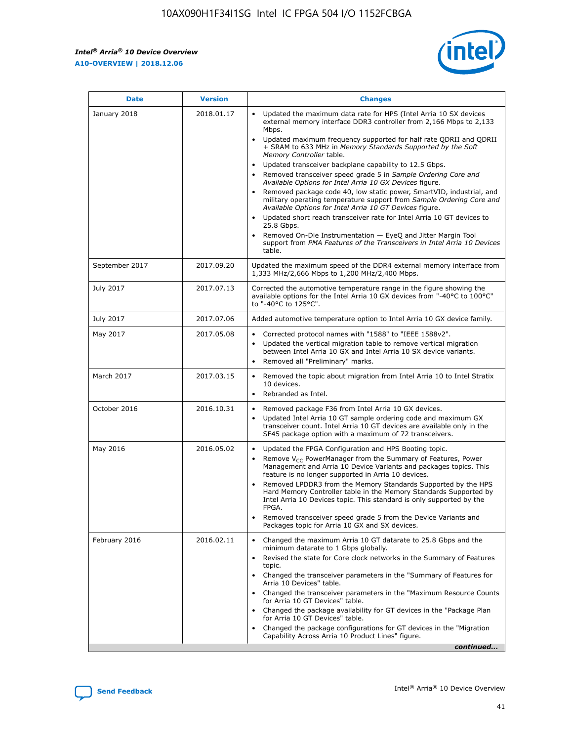*Intel® Arria® 10 Device Overview* **A10-OVERVIEW | 2018.12.06**



| <b>Date</b>    | <b>Version</b> | <b>Changes</b>                                                                                                                                                                                                                                                                                                                                                                                                                                                                                                                                                                                                                                                                                                                                                                                                                                                                                                                                                            |
|----------------|----------------|---------------------------------------------------------------------------------------------------------------------------------------------------------------------------------------------------------------------------------------------------------------------------------------------------------------------------------------------------------------------------------------------------------------------------------------------------------------------------------------------------------------------------------------------------------------------------------------------------------------------------------------------------------------------------------------------------------------------------------------------------------------------------------------------------------------------------------------------------------------------------------------------------------------------------------------------------------------------------|
| January 2018   | 2018.01.17     | Updated the maximum data rate for HPS (Intel Arria 10 SX devices<br>external memory interface DDR3 controller from 2,166 Mbps to 2,133<br>Mbps.<br>Updated maximum frequency supported for half rate QDRII and QDRII<br>+ SRAM to 633 MHz in Memory Standards Supported by the Soft<br>Memory Controller table.<br>Updated transceiver backplane capability to 12.5 Gbps.<br>$\bullet$<br>Removed transceiver speed grade 5 in Sample Ordering Core and<br>Available Options for Intel Arria 10 GX Devices figure.<br>Removed package code 40, low static power, SmartVID, industrial, and<br>military operating temperature support from Sample Ordering Core and<br>Available Options for Intel Arria 10 GT Devices figure.<br>Updated short reach transceiver rate for Intel Arria 10 GT devices to<br>25.8 Gbps.<br>Removed On-Die Instrumentation - EyeQ and Jitter Margin Tool<br>support from PMA Features of the Transceivers in Intel Arria 10 Devices<br>table. |
| September 2017 | 2017.09.20     | Updated the maximum speed of the DDR4 external memory interface from<br>1,333 MHz/2,666 Mbps to 1,200 MHz/2,400 Mbps.                                                                                                                                                                                                                                                                                                                                                                                                                                                                                                                                                                                                                                                                                                                                                                                                                                                     |
| July 2017      | 2017.07.13     | Corrected the automotive temperature range in the figure showing the<br>available options for the Intel Arria 10 GX devices from "-40°C to 100°C"<br>to "-40°C to 125°C".                                                                                                                                                                                                                                                                                                                                                                                                                                                                                                                                                                                                                                                                                                                                                                                                 |
| July 2017      | 2017.07.06     | Added automotive temperature option to Intel Arria 10 GX device family.                                                                                                                                                                                                                                                                                                                                                                                                                                                                                                                                                                                                                                                                                                                                                                                                                                                                                                   |
| May 2017       | 2017.05.08     | Corrected protocol names with "1588" to "IEEE 1588v2".<br>$\bullet$<br>Updated the vertical migration table to remove vertical migration<br>$\bullet$<br>between Intel Arria 10 GX and Intel Arria 10 SX device variants.<br>Removed all "Preliminary" marks.<br>$\bullet$                                                                                                                                                                                                                                                                                                                                                                                                                                                                                                                                                                                                                                                                                                |
| March 2017     | 2017.03.15     | Removed the topic about migration from Intel Arria 10 to Intel Stratix<br>10 devices.<br>Rebranded as Intel.<br>$\bullet$                                                                                                                                                                                                                                                                                                                                                                                                                                                                                                                                                                                                                                                                                                                                                                                                                                                 |
| October 2016   | 2016.10.31     | Removed package F36 from Intel Arria 10 GX devices.<br>Updated Intel Arria 10 GT sample ordering code and maximum GX<br>$\bullet$<br>transceiver count. Intel Arria 10 GT devices are available only in the<br>SF45 package option with a maximum of 72 transceivers.                                                                                                                                                                                                                                                                                                                                                                                                                                                                                                                                                                                                                                                                                                     |
| May 2016       | 2016.05.02     | Updated the FPGA Configuration and HPS Booting topic.<br>$\bullet$<br>Remove V <sub>CC</sub> PowerManager from the Summary of Features, Power<br>Management and Arria 10 Device Variants and packages topics. This<br>feature is no longer supported in Arria 10 devices.<br>Removed LPDDR3 from the Memory Standards Supported by the HPS<br>Hard Memory Controller table in the Memory Standards Supported by<br>Intel Arria 10 Devices topic. This standard is only supported by the<br>FPGA.<br>Removed transceiver speed grade 5 from the Device Variants and<br>Packages topic for Arria 10 GX and SX devices.                                                                                                                                                                                                                                                                                                                                                      |
| February 2016  | 2016.02.11     | Changed the maximum Arria 10 GT datarate to 25.8 Gbps and the<br>minimum datarate to 1 Gbps globally.<br>Revised the state for Core clock networks in the Summary of Features<br>$\bullet$<br>topic.<br>Changed the transceiver parameters in the "Summary of Features for<br>$\bullet$<br>Arria 10 Devices" table.<br>• Changed the transceiver parameters in the "Maximum Resource Counts<br>for Arria 10 GT Devices" table.<br>Changed the package availability for GT devices in the "Package Plan<br>for Arria 10 GT Devices" table.<br>Changed the package configurations for GT devices in the "Migration"<br>Capability Across Arria 10 Product Lines" figure.<br>continued                                                                                                                                                                                                                                                                                       |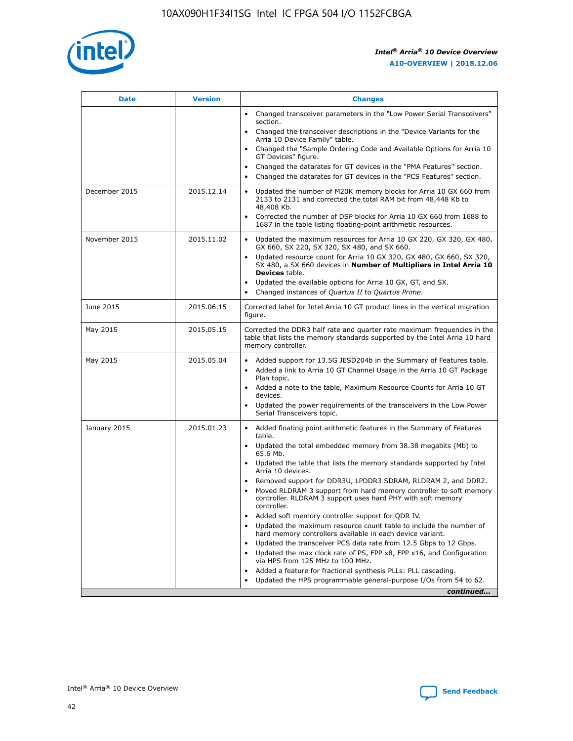

| <b>Date</b>   | <b>Version</b> | <b>Changes</b>                                                                                                                                                               |
|---------------|----------------|------------------------------------------------------------------------------------------------------------------------------------------------------------------------------|
|               |                | Changed transceiver parameters in the "Low Power Serial Transceivers"<br>$\bullet$<br>section.                                                                               |
|               |                | • Changed the transceiver descriptions in the "Device Variants for the<br>Arria 10 Device Family" table.                                                                     |
|               |                | • Changed the "Sample Ordering Code and Available Options for Arria 10<br>GT Devices" figure.                                                                                |
|               |                | Changed the datarates for GT devices in the "PMA Features" section.                                                                                                          |
|               |                | Changed the datarates for GT devices in the "PCS Features" section.<br>$\bullet$                                                                                             |
| December 2015 | 2015.12.14     | Updated the number of M20K memory blocks for Arria 10 GX 660 from<br>2133 to 2131 and corrected the total RAM bit from 48,448 Kb to<br>48,408 Kb.                            |
|               |                | Corrected the number of DSP blocks for Arria 10 GX 660 from 1688 to<br>$\bullet$<br>1687 in the table listing floating-point arithmetic resources.                           |
| November 2015 | 2015.11.02     | Updated the maximum resources for Arria 10 GX 220, GX 320, GX 480,<br>GX 660, SX 220, SX 320, SX 480, and SX 660.                                                            |
|               |                | Updated resource count for Arria 10 GX 320, GX 480, GX 660, SX 320,<br>SX 480, a SX 660 devices in Number of Multipliers in Intel Arria 10<br><b>Devices</b> table.          |
|               |                | Updated the available options for Arria 10 GX, GT, and SX.<br>$\bullet$                                                                                                      |
|               |                | Changed instances of Quartus II to Quartus Prime.<br>$\bullet$                                                                                                               |
| June 2015     | 2015.06.15     | Corrected label for Intel Arria 10 GT product lines in the vertical migration<br>figure.                                                                                     |
| May 2015      | 2015.05.15     | Corrected the DDR3 half rate and quarter rate maximum frequencies in the<br>table that lists the memory standards supported by the Intel Arria 10 hard<br>memory controller. |
| May 2015      | 2015.05.04     | • Added support for 13.5G JESD204b in the Summary of Features table.                                                                                                         |
|               |                | Added a link to Arria 10 GT Channel Usage in the Arria 10 GT Package<br>$\bullet$<br>Plan topic.                                                                             |
|               |                | • Added a note to the table, Maximum Resource Counts for Arria 10 GT<br>devices.                                                                                             |
|               |                | • Updated the power requirements of the transceivers in the Low Power<br>Serial Transceivers topic.                                                                          |
| January 2015  | 2015.01.23     | • Added floating point arithmetic features in the Summary of Features<br>table.                                                                                              |
|               |                | • Updated the total embedded memory from 38.38 megabits (Mb) to<br>65.6 Mb.                                                                                                  |
|               |                | • Updated the table that lists the memory standards supported by Intel<br>Arria 10 devices.                                                                                  |
|               |                | Removed support for DDR3U, LPDDR3 SDRAM, RLDRAM 2, and DDR2.                                                                                                                 |
|               |                | Moved RLDRAM 3 support from hard memory controller to soft memory<br>controller. RLDRAM 3 support uses hard PHY with soft memory<br>controller.                              |
|               |                | Added soft memory controller support for QDR IV.                                                                                                                             |
|               |                | Updated the maximum resource count table to include the number of<br>hard memory controllers available in each device variant.                                               |
|               |                | Updated the transceiver PCS data rate from 12.5 Gbps to 12 Gbps.                                                                                                             |
|               |                | Updated the max clock rate of PS, FPP x8, FPP x16, and Configuration<br>via HPS from 125 MHz to 100 MHz.                                                                     |
|               |                | Added a feature for fractional synthesis PLLs: PLL cascading.                                                                                                                |
|               |                | Updated the HPS programmable general-purpose I/Os from 54 to 62.<br>$\bullet$                                                                                                |
|               |                | continued                                                                                                                                                                    |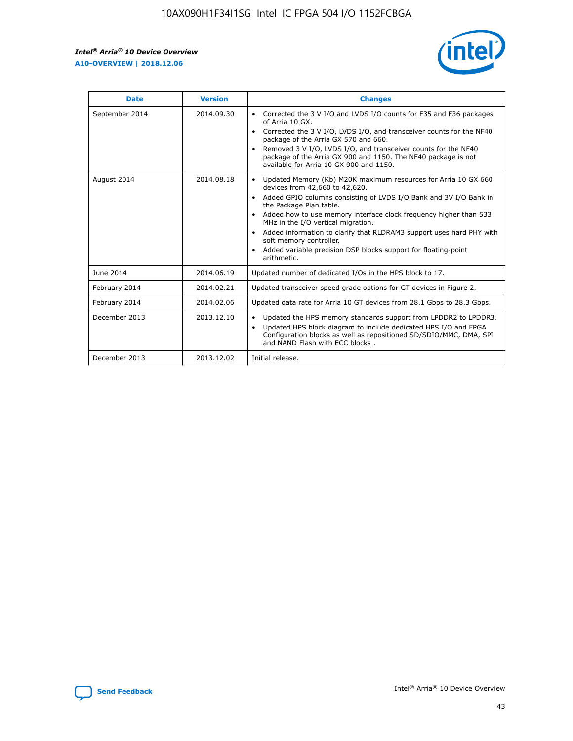r



| <b>Date</b>    | <b>Version</b> | <b>Changes</b>                                                                                                                                                                                                                                                                                                                                                                                                                                                                                                                         |
|----------------|----------------|----------------------------------------------------------------------------------------------------------------------------------------------------------------------------------------------------------------------------------------------------------------------------------------------------------------------------------------------------------------------------------------------------------------------------------------------------------------------------------------------------------------------------------------|
| September 2014 | 2014.09.30     | Corrected the 3 V I/O and LVDS I/O counts for F35 and F36 packages<br>of Arria 10 GX.<br>Corrected the 3 V I/O, LVDS I/O, and transceiver counts for the NF40<br>package of the Arria GX 570 and 660.<br>Removed 3 V I/O, LVDS I/O, and transceiver counts for the NF40<br>package of the Arria GX 900 and 1150. The NF40 package is not<br>available for Arria 10 GX 900 and 1150.                                                                                                                                                    |
| August 2014    | 2014.08.18     | Updated Memory (Kb) M20K maximum resources for Arria 10 GX 660<br>devices from 42,660 to 42,620.<br>Added GPIO columns consisting of LVDS I/O Bank and 3V I/O Bank in<br>$\bullet$<br>the Package Plan table.<br>Added how to use memory interface clock frequency higher than 533<br>$\bullet$<br>MHz in the I/O vertical migration.<br>Added information to clarify that RLDRAM3 support uses hard PHY with<br>$\bullet$<br>soft memory controller.<br>Added variable precision DSP blocks support for floating-point<br>arithmetic. |
| June 2014      | 2014.06.19     | Updated number of dedicated I/Os in the HPS block to 17.                                                                                                                                                                                                                                                                                                                                                                                                                                                                               |
| February 2014  | 2014.02.21     | Updated transceiver speed grade options for GT devices in Figure 2.                                                                                                                                                                                                                                                                                                                                                                                                                                                                    |
| February 2014  | 2014.02.06     | Updated data rate for Arria 10 GT devices from 28.1 Gbps to 28.3 Gbps.                                                                                                                                                                                                                                                                                                                                                                                                                                                                 |
| December 2013  | 2013.12.10     | Updated the HPS memory standards support from LPDDR2 to LPDDR3.<br>Updated HPS block diagram to include dedicated HPS I/O and FPGA<br>$\bullet$<br>Configuration blocks as well as repositioned SD/SDIO/MMC, DMA, SPI<br>and NAND Flash with ECC blocks.                                                                                                                                                                                                                                                                               |
| December 2013  | 2013.12.02     | Initial release.                                                                                                                                                                                                                                                                                                                                                                                                                                                                                                                       |